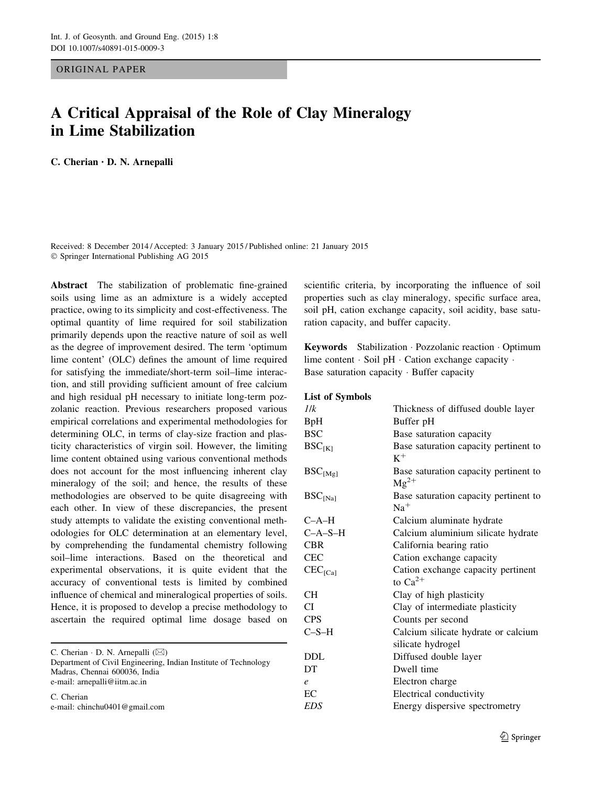ORIGINAL PAPER

# A Critical Appraisal of the Role of Clay Mineralogy in Lime Stabilization

C. Cherian • D. N. Arnepalli

Received: 8 December 2014 / Accepted: 3 January 2015 / Published online: 21 January 2015  $©$  Springer International Publishing AG 2015

Abstract The stabilization of problematic fine-grained soils using lime as an admixture is a widely accepted practice, owing to its simplicity and cost-effectiveness. The optimal quantity of lime required for soil stabilization primarily depends upon the reactive nature of soil as well as the degree of improvement desired. The term 'optimum lime content' (OLC) defines the amount of lime required for satisfying the immediate/short-term soil–lime interaction, and still providing sufficient amount of free calcium and high residual pH necessary to initiate long-term pozzolanic reaction. Previous researchers proposed various empirical correlations and experimental methodologies for determining OLC, in terms of clay-size fraction and plasticity characteristics of virgin soil. However, the limiting lime content obtained using various conventional methods does not account for the most influencing inherent clay mineralogy of the soil; and hence, the results of these methodologies are observed to be quite disagreeing with each other. In view of these discrepancies, the present study attempts to validate the existing conventional methodologies for OLC determination at an elementary level, by comprehending the fundamental chemistry following soil–lime interactions. Based on the theoretical and experimental observations, it is quite evident that the accuracy of conventional tests is limited by combined influence of chemical and mineralogical properties of soils. Hence, it is proposed to develop a precise methodology to ascertain the required optimal lime dosage based on

| C. Cherian $\cdot$ D. N. Arnepalli ( $\boxtimes$ )<br>Department of Civil Engineering, Indian Institute of Technology<br>Madras, Chennai 600036, India<br>e-mail: arnepalli@iitm.ac.in |
|----------------------------------------------------------------------------------------------------------------------------------------------------------------------------------------|
| C. Cherian<br>e-mail: chinchu0401@gmail.com                                                                                                                                            |

scientific criteria, by incorporating the influence of soil properties such as clay mineralogy, specific surface area, soil pH, cation exchange capacity, soil acidity, base saturation capacity, and buffer capacity.

Keywords Stabilization · Pozzolanic reaction · Optimum lime content · Soil pH · Cation exchange capacity · Base saturation capacity - Buffer capacity

List of Symbols

| 1/k                        | Thickness of diffused double layer                       |
|----------------------------|----------------------------------------------------------|
| BpH                        | Buffer pH                                                |
| <b>BSC</b>                 | Base saturation capacity                                 |
| BSC <sub>[K]</sub>         | Base saturation capacity pertinent to<br>$K^+$           |
| BSC <sub>[Mg]</sub>        | Base saturation capacity pertinent to<br>$Mg^{2+}$       |
| BSC <sub>[Na]</sub>        | Base saturation capacity pertinent to<br>$Na+$           |
| $C-A-H$                    | Calcium aluminate hydrate                                |
| $C-A-S-H$                  | Calcium aluminium silicate hydrate                       |
| CBR                        | California bearing ratio                                 |
| <b>CEC</b>                 | Cation exchange capacity                                 |
| $\text{CEC}_{\text{[Ca]}}$ | Cation exchange capacity pertinent<br>to $Ca^{2+}$       |
| <b>CH</b>                  | Clay of high plasticity                                  |
| <b>CI</b>                  | Clay of intermediate plasticity                          |
| <b>CPS</b>                 | Counts per second                                        |
| $C-S-H$                    | Calcium silicate hydrate or calcium<br>silicate hydrogel |
| DDL                        | Diffused double layer                                    |
| DT                         | Dwell time                                               |
| e                          | Electron charge                                          |
| EС                         | Electrical conductivity                                  |
| EDS                        | Energy dispersive spectrometry                           |
|                            |                                                          |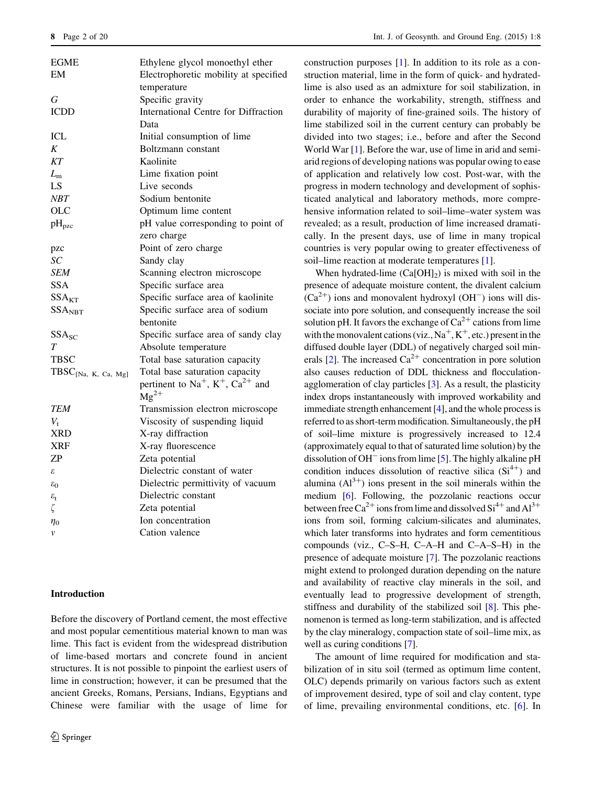| <b>EGME</b>              | Ethylene glycol monoethyl ether                                      |
|--------------------------|----------------------------------------------------------------------|
| EM                       | Electrophoretic mobility at specified                                |
|                          | temperature                                                          |
| G                        | Specific gravity                                                     |
| <b>ICDD</b>              | International Centre for Diffraction                                 |
|                          | Data                                                                 |
| ICL                      | Initial consumption of lime                                          |
| K                        | Boltzmann constant                                                   |
| KT                       | Kaolinite                                                            |
| $L_{\rm m}$              | Lime fixation point                                                  |
| LS                       | Live seconds                                                         |
| <b>NBT</b>               | Sodium bentonite                                                     |
| <b>OLC</b>               | Optimum lime content                                                 |
| $pH_{pzc}$               | pH value corresponding to point of                                   |
|                          | zero charge                                                          |
| pzc                      | Point of zero charge                                                 |
| SC                       | Sandy clay                                                           |
| <b>SEM</b>               | Scanning electron microscope                                         |
| <b>SSA</b>               | Specific surface area                                                |
| <b>SSA<sub>KT</sub></b>  | Specific surface area of kaolinite                                   |
| <b>SSANBT</b>            | Specific surface area of sodium                                      |
|                          | bentonite                                                            |
| $SSA_{SC}$               | Specific surface area of sandy clay                                  |
| T                        | Absolute temperature                                                 |
| TBSC                     | Total base saturation capacity                                       |
| $TBSC_{[Na,~K,~Ca,~Mg]}$ | Total base saturation capacity                                       |
|                          | pertinent to Na <sup>+</sup> , K <sup>+</sup> , Ca <sup>2+</sup> and |
|                          | $Mg^{2+}$                                                            |
| <b>TEM</b>               | Transmission electron microscope                                     |
| $V_{\rm t}$              | Viscosity of suspending liquid                                       |
| <b>XRD</b>               | X-ray diffraction                                                    |
| <b>XRF</b>               | X-ray fluorescence                                                   |
| ZP                       | Zeta potential                                                       |
| ε                        | Dielectric constant of water                                         |
| $\varepsilon_0$          | Dielectric permittivity of vacuum                                    |
| $\varepsilon_{\rm t}$    | Dielectric constant                                                  |
| ζ                        | Zeta potential                                                       |
| $\eta_0$                 | Ion concentration                                                    |
| v                        | Cation valence                                                       |

#### Introduction

Before the discovery of Portland cement, the most effective and most popular cementitious material known to man was lime. This fact is evident from the widespread distribution of lime-based mortars and concrete found in ancient structures. It is not possible to pinpoint the earliest users of lime in construction; however, it can be presumed that the ancient Greeks, Romans, Persians, Indians, Egyptians and Chinese were familiar with the usage of lime for construction purposes [\[1](#page-17-0)]. In addition to its role as a construction material, lime in the form of quick- and hydratedlime is also used as an admixture for soil stabilization, in order to enhance the workability, strength, stiffness and durability of majority of fine-grained soils. The history of lime stabilized soil in the current century can probably be divided into two stages; i.e., before and after the Second World War [\[1](#page-17-0)]. Before the war, use of lime in arid and semiarid regions of developing nations was popular owing to ease of application and relatively low cost. Post-war, with the progress in modern technology and development of sophisticated analytical and laboratory methods, more comprehensive information related to soil–lime–water system was revealed; as a result, production of lime increased dramatically. In the present days, use of lime in many tropical countries is very popular owing to greater effectiveness of soil–lime reaction at moderate temperatures [[1\]](#page-17-0).

When hydrated-lime  $(Ca[OH]_2)$  is mixed with soil in the presence of adequate moisture content, the divalent calcium  $(Ca^{2+})$  ions and monovalent hydroxyl (OH<sup>-</sup>) ions will dissociate into pore solution, and consequently increase the soil solution pH. It favors the exchange of  $Ca^{2+}$  cations from lime with the monovalent cations (viz.,  $Na^+, K^+,$  etc.) present in the diffused double layer (DDL) of negatively charged soil min-erals [[2\]](#page-17-0). The increased  $Ca^{2+}$  concentration in pore solution also causes reduction of DDL thickness and flocculationagglomeration of clay particles [[3\]](#page-17-0). As a result, the plasticity index drops instantaneously with improved workability and immediate strength enhancement [\[4](#page-17-0)], and the whole process is referred to as short-term modification. Simultaneously, the pH of soil–lime mixture is progressively increased to 12.4 (approximately equal to that of saturated lime solution) by the dissolution of OH<sup>-</sup> ions from lime [\[5](#page-17-0)]. The highly alkaline pH condition induces dissolution of reactive silica  $(Si^{4+})$  and alumina  $(AI^{3+})$  ions present in the soil minerals within the medium [\[6\]](#page-17-0). Following, the pozzolanic reactions occur between free Ca<sup>2+</sup> ions from lime and dissolved  $Si^{4+}$  and  $Al^{3+}$ ions from soil, forming calcium-silicates and aluminates, which later transforms into hydrates and form cementitious compounds (viz., C–S–H, C–A–H and C–A–S–H) in the presence of adequate moisture [\[7\]](#page-17-0). The pozzolanic reactions might extend to prolonged duration depending on the nature and availability of reactive clay minerals in the soil, and eventually lead to progressive development of strength, stiffness and durability of the stabilized soil [\[8](#page-17-0)]. This phenomenon is termed as long-term stabilization, and is affected by the clay mineralogy, compaction state of soil–lime mix, as well as curing conditions [\[7\]](#page-17-0).

The amount of lime required for modification and stabilization of in situ soil (termed as optimum lime content, OLC) depends primarily on various factors such as extent of improvement desired, type of soil and clay content, type of lime, prevailing environmental conditions, etc. [[6\]](#page-17-0). In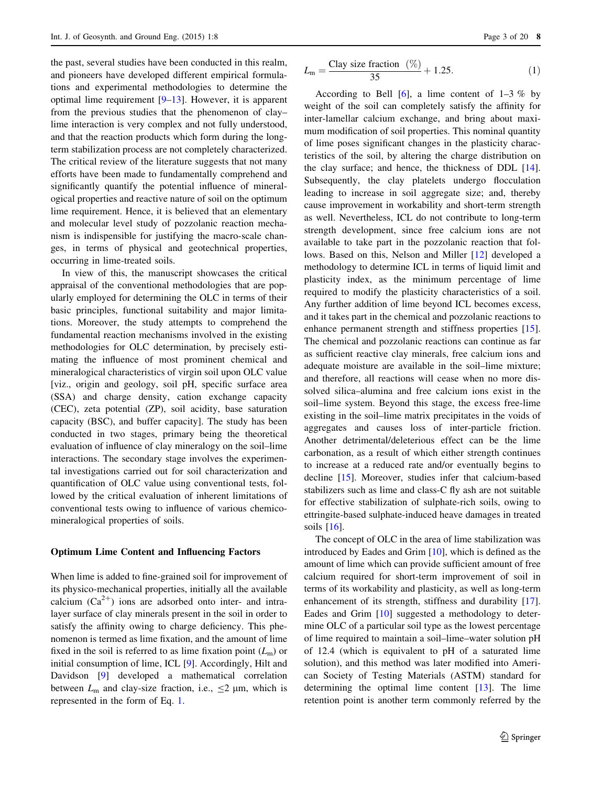the past, several studies have been conducted in this realm, and pioneers have developed different empirical formulations and experimental methodologies to determine the optimal lime requirement [[9–13](#page-17-0)]. However, it is apparent from the previous studies that the phenomenon of clay– lime interaction is very complex and not fully understood, and that the reaction products which form during the longterm stabilization process are not completely characterized. The critical review of the literature suggests that not many efforts have been made to fundamentally comprehend and significantly quantify the potential influence of mineralogical properties and reactive nature of soil on the optimum lime requirement. Hence, it is believed that an elementary and molecular level study of pozzolanic reaction mechanism is indispensible for justifying the macro-scale changes, in terms of physical and geotechnical properties, occurring in lime-treated soils.

In view of this, the manuscript showcases the critical appraisal of the conventional methodologies that are popularly employed for determining the OLC in terms of their basic principles, functional suitability and major limitations. Moreover, the study attempts to comprehend the fundamental reaction mechanisms involved in the existing methodologies for OLC determination, by precisely estimating the influence of most prominent chemical and mineralogical characteristics of virgin soil upon OLC value [viz., origin and geology, soil pH, specific surface area (SSA) and charge density, cation exchange capacity (CEC), zeta potential (ZP), soil acidity, base saturation capacity (BSC), and buffer capacity]. The study has been conducted in two stages, primary being the theoretical evaluation of influence of clay mineralogy on the soil–lime interactions. The secondary stage involves the experimental investigations carried out for soil characterization and quantification of OLC value using conventional tests, followed by the critical evaluation of inherent limitations of conventional tests owing to influence of various chemicomineralogical properties of soils.

#### Optimum Lime Content and Influencing Factors

When lime is added to fine-grained soil for improvement of its physico-mechanical properties, initially all the available calcium  $(Ca^{2+})$  ions are adsorbed onto inter- and intralayer surface of clay minerals present in the soil in order to satisfy the affinity owing to charge deficiency. This phenomenon is termed as lime fixation, and the amount of lime fixed in the soil is referred to as lime fixation point  $(L_m)$  or initial consumption of lime, ICL [[9\]](#page-17-0). Accordingly, Hilt and Davidson [[9\]](#page-17-0) developed a mathematical correlation between  $L_m$  and clay-size fraction, i.e.,  $\leq 2 \mu m$ , which is represented in the form of Eq. 1.

$$
L_{\rm m} = \frac{\text{Clay size fraction } (\%)}{35} + 1.25. \tag{1}
$$

According to Bell [[6\]](#page-17-0), a lime content of  $1-3\%$  by weight of the soil can completely satisfy the affinity for inter-lamellar calcium exchange, and bring about maximum modification of soil properties. This nominal quantity of lime poses significant changes in the plasticity characteristics of the soil, by altering the charge distribution on the clay surface; and hence, the thickness of DDL [\[14](#page-17-0)]. Subsequently, the clay platelets undergo flocculation leading to increase in soil aggregate size; and, thereby cause improvement in workability and short-term strength as well. Nevertheless, ICL do not contribute to long-term strength development, since free calcium ions are not available to take part in the pozzolanic reaction that follows. Based on this, Nelson and Miller [\[12](#page-17-0)] developed a methodology to determine ICL in terms of liquid limit and plasticity index, as the minimum percentage of lime required to modify the plasticity characteristics of a soil. Any further addition of lime beyond ICL becomes excess, and it takes part in the chemical and pozzolanic reactions to enhance permanent strength and stiffness properties [\[15](#page-17-0)]. The chemical and pozzolanic reactions can continue as far as sufficient reactive clay minerals, free calcium ions and adequate moisture are available in the soil–lime mixture; and therefore, all reactions will cease when no more dissolved silica–alumina and free calcium ions exist in the soil–lime system. Beyond this stage, the excess free-lime existing in the soil–lime matrix precipitates in the voids of aggregates and causes loss of inter-particle friction. Another detrimental/deleterious effect can be the lime carbonation, as a result of which either strength continues to increase at a reduced rate and/or eventually begins to decline [\[15](#page-17-0)]. Moreover, studies infer that calcium-based stabilizers such as lime and class-C fly ash are not suitable for effective stabilization of sulphate-rich soils, owing to ettringite-based sulphate-induced heave damages in treated soils [\[16](#page-17-0)].

The concept of OLC in the area of lime stabilization was introduced by Eades and Grim [[10\]](#page-17-0), which is defined as the amount of lime which can provide sufficient amount of free calcium required for short-term improvement of soil in terms of its workability and plasticity, as well as long-term enhancement of its strength, stiffness and durability [\[17](#page-17-0)]. Eades and Grim [[10\]](#page-17-0) suggested a methodology to determine OLC of a particular soil type as the lowest percentage of lime required to maintain a soil–lime–water solution pH of 12.4 (which is equivalent to pH of a saturated lime solution), and this method was later modified into American Society of Testing Materials (ASTM) standard for determining the optimal lime content [[13\]](#page-17-0). The lime retention point is another term commonly referred by the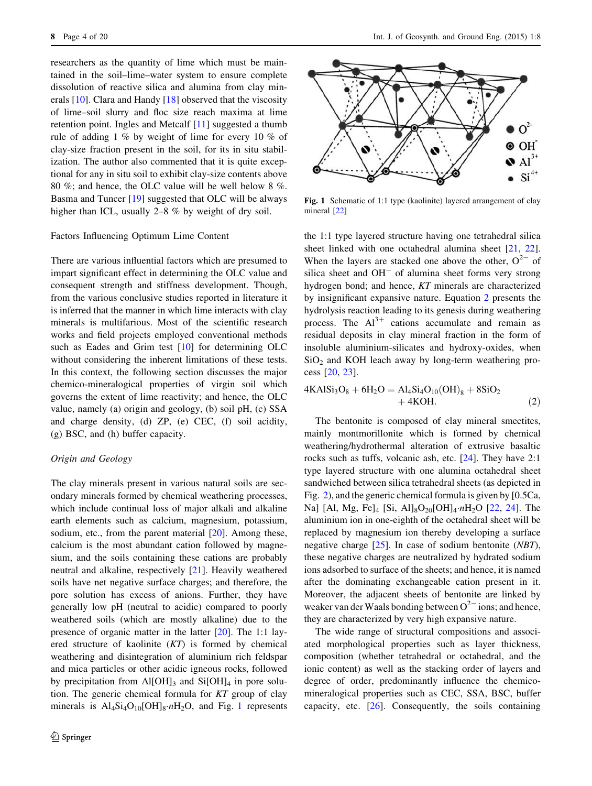<span id="page-3-0"></span>researchers as the quantity of lime which must be maintained in the soil–lime–water system to ensure complete dissolution of reactive silica and alumina from clay minerals [[10\]](#page-17-0). Clara and Handy [\[18](#page-17-0)] observed that the viscosity of lime–soil slurry and floc size reach maxima at lime retention point. Ingles and Metcalf [[11\]](#page-17-0) suggested a thumb rule of adding 1 % by weight of lime for every 10 % of clay-size fraction present in the soil, for its in situ stabilization. The author also commented that it is quite exceptional for any in situ soil to exhibit clay-size contents above 80 %; and hence, the OLC value will be well below 8 %. Basma and Tuncer [\[19](#page-18-0)] suggested that OLC will be always higher than ICL, usually 2–8 % by weight of dry soil.

#### Factors Influencing Optimum Lime Content

There are various influential factors which are presumed to impart significant effect in determining the OLC value and consequent strength and stiffness development. Though, from the various conclusive studies reported in literature it is inferred that the manner in which lime interacts with clay minerals is multifarious. Most of the scientific research works and field projects employed conventional methods such as Eades and Grim test [[10\]](#page-17-0) for determining OLC without considering the inherent limitations of these tests. In this context, the following section discusses the major chemico-mineralogical properties of virgin soil which governs the extent of lime reactivity; and hence, the OLC value, namely (a) origin and geology, (b) soil pH, (c) SSA and charge density, (d) ZP, (e) CEC, (f) soil acidity, (g) BSC, and (h) buffer capacity.

#### Origin and Geology

The clay minerals present in various natural soils are secondary minerals formed by chemical weathering processes, which include continual loss of major alkali and alkaline earth elements such as calcium, magnesium, potassium, sodium, etc., from the parent material [\[20](#page-18-0)]. Among these, calcium is the most abundant cation followed by magnesium, and the soils containing these cations are probably neutral and alkaline, respectively [\[21](#page-18-0)]. Heavily weathered soils have net negative surface charges; and therefore, the pore solution has excess of anions. Further, they have generally low pH (neutral to acidic) compared to poorly weathered soils (which are mostly alkaline) due to the presence of organic matter in the latter [[20\]](#page-18-0). The 1:1 layered structure of kaolinite (KT) is formed by chemical weathering and disintegration of aluminium rich feldspar and mica particles or other acidic igneous rocks, followed by precipitation from  $AI[OH]_3$  and  $Si[OH]_4$  in pore solution. The generic chemical formula for  $KT$  group of clay minerals is  $\text{Al}_4\text{Si}_4\text{O}_{10}[\text{OH}]_8 \cdot n\text{H}_2\text{O}$ , and Fig. 1 represents



Fig. 1 Schematic of 1:1 type (kaolinite) layered arrangement of clay mineral [[22](#page-18-0)]

the 1:1 type layered structure having one tetrahedral silica sheet linked with one octahedral alumina sheet [[21,](#page-18-0) [22](#page-18-0)]. When the layers are stacked one above the other,  $O^{2-}$  of silica sheet and  $OH^-$  of alumina sheet forms very strong hydrogen bond; and hence, KT minerals are characterized by insignificant expansive nature. Equation 2 presents the hydrolysis reaction leading to its genesis during weathering process. The  $Al^{3+}$  cations accumulate and remain as residual deposits in clay mineral fraction in the form of insoluble aluminium-silicates and hydroxy-oxides, when  $SiO<sub>2</sub>$  and KOH leach away by long-term weathering process [\[20](#page-18-0), [23](#page-18-0)].

$$
4KAISi3O8 + 6H2O = Al4Si4O10(OH)8 + 8SiO2 + 4KOH.
$$
 (2)

The bentonite is composed of clay mineral smectites, mainly montmorillonite which is formed by chemical weathering/hydrothermal alteration of extrusive basaltic rocks such as tuffs, volcanic ash, etc. [\[24](#page-18-0)]. They have 2:1 type layered structure with one alumina octahedral sheet sandwiched between silica tetrahedral sheets (as depicted in Fig. [2](#page-4-0)), and the generic chemical formula is given by [0.5Ca, Na] [Al, Mg, Fe]<sub>4</sub> [Si, Al]<sub>8</sub>O<sub>20</sub>[OH]<sub>4</sub>  $nH_2O$  [[22,](#page-18-0) [24](#page-18-0)]. The aluminium ion in one-eighth of the octahedral sheet will be replaced by magnesium ion thereby developing a surface negative charge [[25\]](#page-18-0). In case of sodium bentonite (NBT), these negative charges are neutralized by hydrated sodium ions adsorbed to surface of the sheets; and hence, it is named after the dominating exchangeable cation present in it. Moreover, the adjacent sheets of bentonite are linked by weaker van der Waals bonding between  $O^{2-}$  ions; and hence, they are characterized by very high expansive nature.

The wide range of structural compositions and associated morphological properties such as layer thickness, composition (whether tetrahedral or octahedral, and the ionic content) as well as the stacking order of layers and degree of order, predominantly influence the chemicomineralogical properties such as CEC, SSA, BSC, buffer capacity, etc. [\[26](#page-18-0)]. Consequently, the soils containing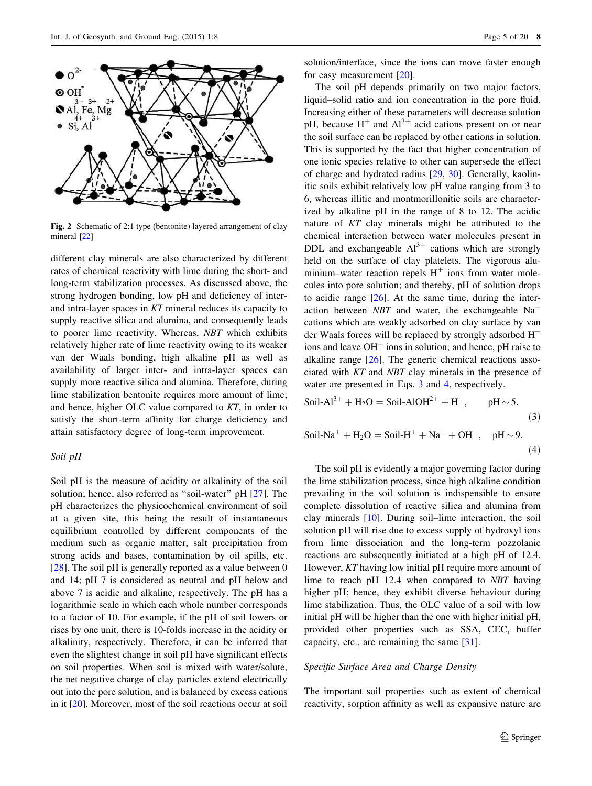<span id="page-4-0"></span>

Fig. 2 Schematic of 2:1 type (bentonite) layered arrangement of clay mineral [[22](#page-18-0)]

different clay minerals are also characterized by different rates of chemical reactivity with lime during the short- and long-term stabilization processes. As discussed above, the strong hydrogen bonding, low pH and deficiency of interand intra-layer spaces in KT mineral reduces its capacity to supply reactive silica and alumina, and consequently leads to poorer lime reactivity. Whereas, NBT which exhibits relatively higher rate of lime reactivity owing to its weaker van der Waals bonding, high alkaline pH as well as availability of larger inter- and intra-layer spaces can supply more reactive silica and alumina. Therefore, during lime stabilization bentonite requires more amount of lime; and hence, higher OLC value compared to KT, in order to satisfy the short-term affinity for charge deficiency and attain satisfactory degree of long-term improvement.

## Soil pH

Soil pH is the measure of acidity or alkalinity of the soil solution; hence, also referred as "soil-water" pH [[27\]](#page-18-0). The pH characterizes the physicochemical environment of soil at a given site, this being the result of instantaneous equilibrium controlled by different components of the medium such as organic matter, salt precipitation from strong acids and bases, contamination by oil spills, etc. [\[28](#page-18-0)]. The soil pH is generally reported as a value between 0 and 14; pH 7 is considered as neutral and pH below and above 7 is acidic and alkaline, respectively. The pH has a logarithmic scale in which each whole number corresponds to a factor of 10. For example, if the pH of soil lowers or rises by one unit, there is 10-folds increase in the acidity or alkalinity, respectively. Therefore, it can be inferred that even the slightest change in soil pH have significant effects on soil properties. When soil is mixed with water/solute, the net negative charge of clay particles extend electrically out into the pore solution, and is balanced by excess cations in it [\[20\]](#page-18-0). Moreover, most of the soil reactions occur at soil

solution/interface, since the ions can move faster enough for easy measurement [\[20](#page-18-0)].

The soil pH depends primarily on two major factors, liquid–solid ratio and ion concentration in the pore fluid. Increasing either of these parameters will decrease solution pH, because  $H^+$  and  $Al^{3+}$  acid cations present on or near the soil surface can be replaced by other cations in solution. This is supported by the fact that higher concentration of one ionic species relative to other can supersede the effect of charge and hydrated radius [\[29](#page-18-0), [30](#page-18-0)]. Generally, kaolinitic soils exhibit relatively low pH value ranging from 3 to 6, whereas illitic and montmorillonitic soils are characterized by alkaline pH in the range of 8 to 12. The acidic nature of KT clay minerals might be attributed to the chemical interaction between water molecules present in DDL and exchangeable  $Al^{3+}$  cations which are strongly held on the surface of clay platelets. The vigorous aluminium-water reaction repels  $H^+$  ions from water molecules into pore solution; and thereby, pH of solution drops to acidic range  $[26]$  $[26]$ . At the same time, during the interaction between *NBT* and water, the exchangeable  $Na<sup>+</sup>$ cations which are weakly adsorbed on clay surface by van der Waals forces will be replaced by strongly adsorbed  $H^+$ ions and leave OH<sup>-</sup> ions in solution; and hence, pH raise to alkaline range [\[26](#page-18-0)]. The generic chemical reactions associated with KT and NBT clay minerals in the presence of water are presented in Eqs. 3 and 4, respectively.

Soil-Al<sup>3</sup><sup>þ</sup> þ H2O ¼ Soil-AlOH<sup>2</sup><sup>þ</sup> þ H þ ; pH 5: ð3Þ

Soil-Na<sup>þ</sup> þ H2O ¼ Soil-H<sup>þ</sup> þ Na<sup>þ</sup> þ OH ; pH 9: ð4Þ

The soil pH is evidently a major governing factor during the lime stabilization process, since high alkaline condition prevailing in the soil solution is indispensible to ensure complete dissolution of reactive silica and alumina from clay minerals [\[10](#page-17-0)]. During soil–lime interaction, the soil solution pH will rise due to excess supply of hydroxyl ions from lime dissociation and the long-term pozzolanic reactions are subsequently initiated at a high pH of 12.4. However, KT having low initial pH require more amount of lime to reach pH 12.4 when compared to NBT having higher pH; hence, they exhibit diverse behaviour during lime stabilization. Thus, the OLC value of a soil with low initial pH will be higher than the one with higher initial pH, provided other properties such as SSA, CEC, buffer capacity, etc., are remaining the same [[31\]](#page-18-0).

#### Specific Surface Area and Charge Density

The important soil properties such as extent of chemical reactivity, sorption affinity as well as expansive nature are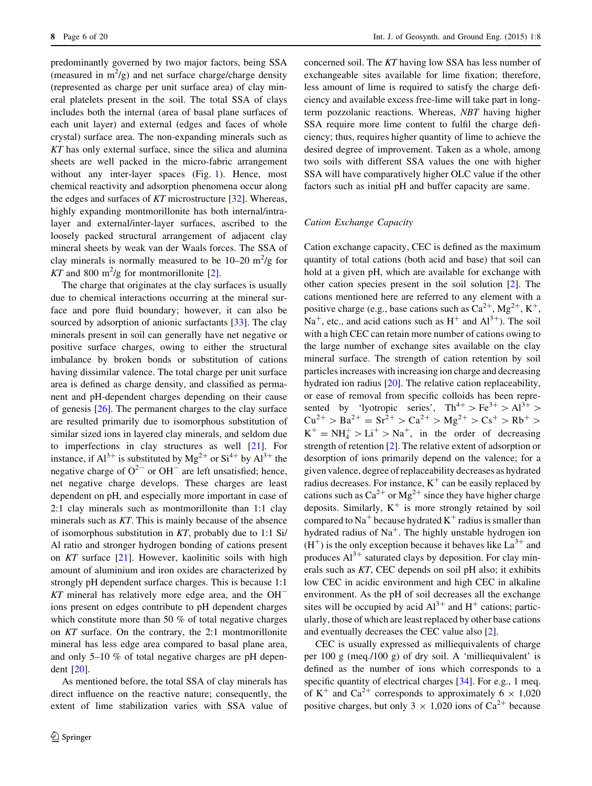predominantly governed by two major factors, being SSA (measured in  $m^2/g$ ) and net surface charge/charge density (represented as charge per unit surface area) of clay mineral platelets present in the soil. The total SSA of clays includes both the internal (area of basal plane surfaces of each unit layer) and external (edges and faces of whole crystal) surface area. The non-expanding minerals such as KT has only external surface, since the silica and alumina sheets are well packed in the micro-fabric arrangement without any inter-layer spaces (Fig. [1\)](#page-3-0). Hence, most chemical reactivity and adsorption phenomena occur along the edges and surfaces of  $KT$  microstructure [\[32](#page-18-0)]. Whereas, highly expanding montmorillonite has both internal/intralayer and external/inter-layer surfaces, ascribed to the loosely packed structural arrangement of adjacent clay mineral sheets by weak van der Waals forces. The SSA of clay minerals is normally measured to be  $10-20$  m<sup>2</sup>/g for KT and 800 m<sup>2</sup>/g for montmorillonite [\[2](#page-17-0)].

The charge that originates at the clay surfaces is usually due to chemical interactions occurring at the mineral surface and pore fluid boundary; however, it can also be sourced by adsorption of anionic surfactants [\[33](#page-18-0)]. The clay minerals present in soil can generally have net negative or positive surface charges, owing to either the structural imbalance by broken bonds or substitution of cations having dissimilar valence. The total charge per unit surface area is defined as charge density, and classified as permanent and pH-dependent charges depending on their cause of genesis [\[26](#page-18-0)]. The permanent charges to the clay surface are resulted primarily due to isomorphous substitution of similar sized ions in layered clay minerals, and seldom due to imperfections in clay structures as well [[21\]](#page-18-0). For instance, if  $Al^{3+}$  is substituted by  $Mg^{2+}$  or  $Si^{4+}$  by  $Al^{3+}$  the negative charge of  $O^{2-}$  or  $OH^-$  are left unsatisfied; hence, net negative charge develops. These charges are least dependent on pH, and especially more important in case of 2:1 clay minerals such as montmorillonite than 1:1 clay minerals such as KT. This is mainly because of the absence of isomorphous substitution in KT, probably due to 1:1 Si/ Al ratio and stronger hydrogen bonding of cations present on  $KT$  surface  $[21]$  $[21]$ . However, kaolinitic soils with high amount of aluminium and iron oxides are characterized by strongly pH dependent surface charges. This is because 1:1 KT mineral has relatively more edge area, and the  $OH^$ ions present on edges contribute to pH dependent charges which constitute more than 50 % of total negative charges on KT surface. On the contrary, the 2:1 montmorillonite mineral has less edge area compared to basal plane area, and only 5–10 % of total negative charges are pH dependent [[20\]](#page-18-0).

As mentioned before, the total SSA of clay minerals has direct influence on the reactive nature; consequently, the extent of lime stabilization varies with SSA value of concerned soil. The KT having low SSA has less number of exchangeable sites available for lime fixation; therefore, less amount of lime is required to satisfy the charge deficiency and available excess free-lime will take part in longterm pozzolanic reactions. Whereas, NBT having higher SSA require more lime content to fulfil the charge deficiency; thus, requires higher quantity of lime to achieve the desired degree of improvement. Taken as a whole, among two soils with different SSA values the one with higher SSA will have comparatively higher OLC value if the other factors such as initial pH and buffer capacity are same.

## Cation Exchange Capacity

Cation exchange capacity, CEC is defined as the maximum quantity of total cations (both acid and base) that soil can hold at a given pH, which are available for exchange with other cation species present in the soil solution [[2\]](#page-17-0). The cations mentioned here are referred to any element with a positive charge (e.g., base cations such as  $Ca^{2+}$ ,  $Mg^{2+}$ ,  $K^+$ ,  $Na<sup>+</sup>$ , etc., and acid cations such as  $H<sup>+</sup>$  and  $Al<sup>3+</sup>$ ). The soil with a high CEC can retain more number of cations owing to the large number of exchange sites available on the clay mineral surface. The strength of cation retention by soil particles increases with increasing ion charge and decreasing hydrated ion radius [[20\]](#page-18-0). The relative cation replaceability, or ease of removal from specific colloids has been represented by 'lyotropic series',  $Th^{4+} > Fe^{3+} > Al^{3+} >$  $Cu^{2+} > Ba^{2+} = Sr^{2+} > Ca^{2+} > Mg^{2+} > Cs^{+} > Rb^{+} >$  $K^+ = NH_4^+ > Li^+ > Na^+$ , in the order of decreasing strength of retention [[2\]](#page-17-0). The relative extent of adsorption or desorption of ions primarily depend on the valence; for a given valence, degree of replaceability decreases as hydrated radius decreases. For instance,  $K^+$  can be easily replaced by cations such as  $Ca^{2+}$  or  $Mg^{2+}$  since they have higher charge deposits. Similarly,  $K^+$  is more strongly retained by soil compared to Na<sup>+</sup> because hydrated  $K^+$  radius is smaller than hydrated radius of  $Na<sup>+</sup>$ . The highly unstable hydrogen ion  $(H<sup>+</sup>)$  is the only exception because it behaves like  $La<sup>3+</sup>$  and produces  $Al^{3+}$  saturated clays by deposition. For clay minerals such as KT, CEC depends on soil pH also; it exhibits low CEC in acidic environment and high CEC in alkaline environment. As the pH of soil decreases all the exchange sites will be occupied by acid  $Al^{3+}$  and  $H^{+}$  cations; particularly, those of which are least replaced by other base cations and eventually decreases the CEC value also [\[2](#page-17-0)].

CEC is usually expressed as milliequivalents of charge per 100 g (meq./100 g) of dry soil. A 'milliequivalent' is defined as the number of ions which corresponds to a specific quantity of electrical charges [\[34](#page-18-0)]. For e.g., 1 meq. of K<sup>+</sup> and Ca<sup>2+</sup> corresponds to approximately  $6 \times 1,020$ positive charges, but only  $3 \times 1,020$  ions of Ca<sup>2+</sup> because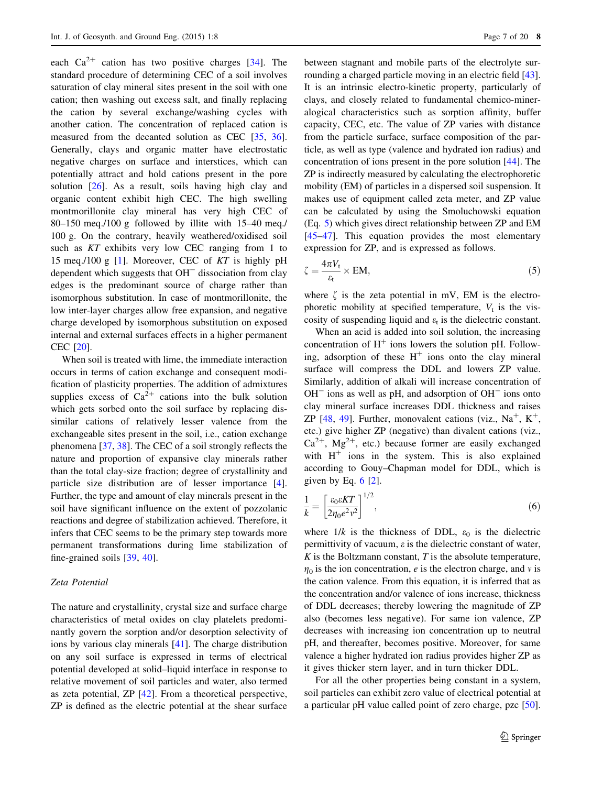each  $Ca^{2+}$  cation has two positive charges [[34\]](#page-18-0). The standard procedure of determining CEC of a soil involves saturation of clay mineral sites present in the soil with one cation; then washing out excess salt, and finally replacing the cation by several exchange/washing cycles with another cation. The concentration of replaced cation is measured from the decanted solution as CEC [[35,](#page-18-0) [36](#page-18-0)]. Generally, clays and organic matter have electrostatic negative charges on surface and interstices, which can potentially attract and hold cations present in the pore solution [\[26](#page-18-0)]. As a result, soils having high clay and organic content exhibit high CEC. The high swelling montmorillonite clay mineral has very high CEC of 80–150 meq./100 g followed by illite with 15–40 meq./ 100 g. On the contrary, heavily weathered/oxidised soil such as KT exhibits very low CEC ranging from 1 to 15 meq./100 g  $[1]$  $[1]$ . Moreover, CEC of KT is highly pH dependent which suggests that OH<sup>-</sup> dissociation from clay edges is the predominant source of charge rather than isomorphous substitution. In case of montmorillonite, the low inter-layer charges allow free expansion, and negative charge developed by isomorphous substitution on exposed internal and external surfaces effects in a higher permanent CEC [\[20](#page-18-0)].

When soil is treated with lime, the immediate interaction occurs in terms of cation exchange and consequent modification of plasticity properties. The addition of admixtures supplies excess of  $Ca^{2+}$  cations into the bulk solution which gets sorbed onto the soil surface by replacing dissimilar cations of relatively lesser valence from the exchangeable sites present in the soil, i.e., cation exchange phenomena [[37,](#page-18-0) [38\]](#page-18-0). The CEC of a soil strongly reflects the nature and proportion of expansive clay minerals rather than the total clay-size fraction; degree of crystallinity and particle size distribution are of lesser importance [\[4](#page-17-0)]. Further, the type and amount of clay minerals present in the soil have significant influence on the extent of pozzolanic reactions and degree of stabilization achieved. Therefore, it infers that CEC seems to be the primary step towards more permanent transformations during lime stabilization of fine-grained soils [[39,](#page-18-0) [40](#page-18-0)].

## Zeta Potential

The nature and crystallinity, crystal size and surface charge characteristics of metal oxides on clay platelets predominantly govern the sorption and/or desorption selectivity of ions by various clay minerals [\[41](#page-18-0)]. The charge distribution on any soil surface is expressed in terms of electrical potential developed at solid–liquid interface in response to relative movement of soil particles and water, also termed as zeta potential, ZP [\[42](#page-18-0)]. From a theoretical perspective, ZP is defined as the electric potential at the shear surface between stagnant and mobile parts of the electrolyte surrounding a charged particle moving in an electric field [\[43](#page-18-0)]. It is an intrinsic electro-kinetic property, particularly of clays, and closely related to fundamental chemico-mineralogical characteristics such as sorption affinity, buffer capacity, CEC, etc. The value of ZP varies with distance from the particle surface, surface composition of the particle, as well as type (valence and hydrated ion radius) and concentration of ions present in the pore solution [\[44](#page-18-0)]. The ZP is indirectly measured by calculating the electrophoretic mobility (EM) of particles in a dispersed soil suspension. It makes use of equipment called zeta meter, and ZP value can be calculated by using the Smoluchowski equation (Eq. 5) which gives direct relationship between ZP and EM [\[45–47](#page-18-0)]. This equation provides the most elementary expression for ZP, and is expressed as follows.

$$
\zeta = \frac{4\pi V_t}{\varepsilon_t} \times EM,
$$
\n(5)

where  $\zeta$  is the zeta potential in mV, EM is the electrophoretic mobility at specified temperature,  $V_t$  is the viscosity of suspending liquid and  $\varepsilon_t$  is the dielectric constant.

When an acid is added into soil solution, the increasing concentration of  $H^+$  ions lowers the solution pH. Following, adsorption of these  $H^+$  ions onto the clay mineral surface will compress the DDL and lowers ZP value. Similarly, addition of alkali will increase concentration of  $OH^-$  ions as well as pH, and adsorption of  $OH^-$  ions onto clay mineral surface increases DDL thickness and raises ZP [[48](#page-18-0), [49](#page-18-0)]. Further, monovalent cations (viz.,  $Na^+$ ,  $K^+$ , etc.) give higher ZP (negative) than divalent cations (viz.,  $Ca^{2+}$ , Mg<sup>2+</sup>, etc.) because former are easily exchanged with  $H^+$  ions in the system. This is also explained according to Gouy–Chapman model for DDL, which is given by Eq. 6 [[2\]](#page-17-0).

$$
\frac{1}{k} = \left[\frac{\varepsilon_0 \varepsilon KT}{2\eta_0 e^{2\gamma^2}}\right]^{1/2},\tag{6}
$$

where  $1/k$  is the thickness of DDL,  $\varepsilon_0$  is the dielectric permittivity of vacuum,  $\varepsilon$  is the dielectric constant of water,  $K$  is the Boltzmann constant,  $T$  is the absolute temperature,  $\eta_0$  is the ion concentration, *e* is the electron charge, and *v* is the cation valence. From this equation, it is inferred that as the concentration and/or valence of ions increase, thickness of DDL decreases; thereby lowering the magnitude of ZP also (becomes less negative). For same ion valence, ZP decreases with increasing ion concentration up to neutral pH, and thereafter, becomes positive. Moreover, for same valence a higher hydrated ion radius provides higher ZP as it gives thicker stern layer, and in turn thicker DDL.

For all the other properties being constant in a system, soil particles can exhibit zero value of electrical potential at a particular pH value called point of zero charge, pzc [\[50](#page-18-0)].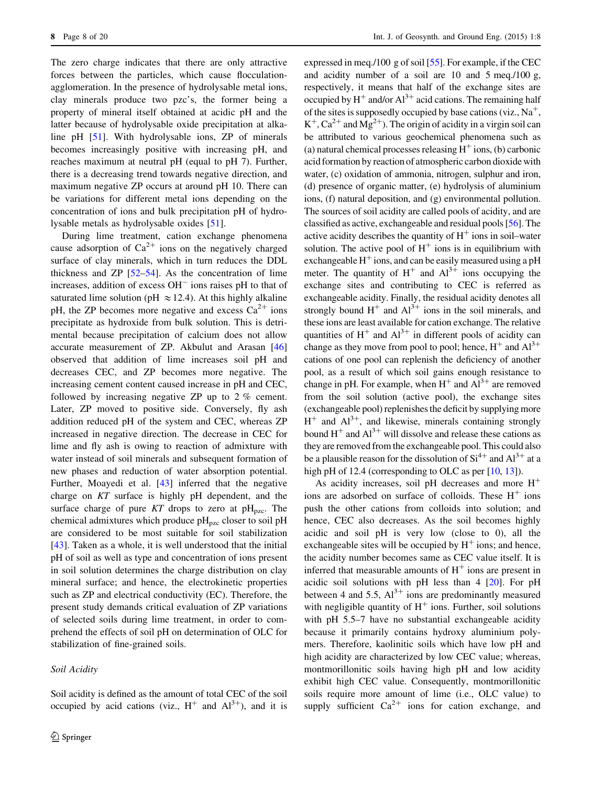The zero charge indicates that there are only attractive forces between the particles, which cause flocculationagglomeration. In the presence of hydrolysable metal ions, clay minerals produce two pzc's, the former being a property of mineral itself obtained at acidic pH and the latter because of hydrolysable oxide precipitation at alkaline pH [\[51](#page-18-0)]. With hydrolysable ions, ZP of minerals becomes increasingly positive with increasing pH, and reaches maximum at neutral pH (equal to pH 7). Further, there is a decreasing trend towards negative direction, and maximum negative ZP occurs at around pH 10. There can be variations for different metal ions depending on the concentration of ions and bulk precipitation pH of hydrolysable metals as hydrolysable oxides [[51\]](#page-18-0).

During lime treatment, cation exchange phenomena cause adsorption of  $Ca^{2+}$  ions on the negatively charged surface of clay minerals, which in turn reduces the DDL thickness and  $\overline{ZP}$  [\[52–54](#page-18-0)]. As the concentration of lime increases, addition of excess OH<sup>-</sup> ions raises pH to that of saturated lime solution (pH  $\approx$  12.4). At this highly alkaline pH, the ZP becomes more negative and excess  $Ca^{2+}$  ions precipitate as hydroxide from bulk solution. This is detrimental because precipitation of calcium does not allow accurate measurement of ZP. Akbulut and Arasan [[46\]](#page-18-0) observed that addition of lime increases soil pH and decreases CEC, and ZP becomes more negative. The increasing cement content caused increase in pH and CEC, followed by increasing negative ZP up to 2 % cement. Later, ZP moved to positive side. Conversely, fly ash addition reduced pH of the system and CEC, whereas ZP increased in negative direction. The decrease in CEC for lime and fly ash is owing to reaction of admixture with water instead of soil minerals and subsequent formation of new phases and reduction of water absorption potential. Further, Moayedi et al. [[43\]](#page-18-0) inferred that the negative charge on KT surface is highly pH dependent, and the surface charge of pure  $KT$  drops to zero at pH<sub>pzc</sub>. The chemical admixtures which produce  $pH<sub>pzc</sub>$  closer to soil  $pH$ are considered to be most suitable for soil stabilization [\[43](#page-18-0)]. Taken as a whole, it is well understood that the initial pH of soil as well as type and concentration of ions present in soil solution determines the charge distribution on clay mineral surface; and hence, the electrokinetic properties such as ZP and electrical conductivity (EC). Therefore, the present study demands critical evaluation of ZP variations of selected soils during lime treatment, in order to comprehend the effects of soil pH on determination of OLC for stabilization of fine-grained soils.

## Soil Acidity

expressed in meq./100 g of soil [[55](#page-18-0)]. For example, if the CEC and acidity number of a soil are 10 and 5 meq./100 g, respectively, it means that half of the exchange sites are occupied by  $H^+$  and/or  $Al^{3+}$  acid cations. The remaining half of the sites is supposedly occupied by base cations (viz.,  $Na<sup>+</sup>$ ,  $K^+$ ,  $Ca^{2+}$  and  $Mg^{2+}$ ). The origin of acidity in a virgin soil can be attributed to various geochemical phenomena such as (a) natural chemical processes releasing  $H^+$  ions, (b) carbonic acid formation by reaction of atmospheric carbon dioxide with water, (c) oxidation of ammonia, nitrogen, sulphur and iron, (d) presence of organic matter, (e) hydrolysis of aluminium ions, (f) natural deposition, and (g) environmental pollution. The sources of soil acidity are called pools of acidity, and are classified as active, exchangeable and residual pools [[56](#page-18-0)]. The active acidity describes the quantity of  $H^+$  ions in soil–water solution. The active pool of  $H^+$  ions is in equilibrium with exchangeable  $H^+$  ions, and can be easily measured using a pH meter. The quantity of  $H^+$  and  $Al^{3+}$  ions occupying the exchange sites and contributing to CEC is referred as exchangeable acidity. Finally, the residual acidity denotes all strongly bound  $H^+$  and  $Al^{3+}$  ions in the soil minerals, and these ions are least available for cation exchange. The relative quantities of  $H^+$  and  $Al^{3+}$  in different pools of acidity can change as they move from pool to pool; hence,  $H^+$  and  $Al^{3+}$ cations of one pool can replenish the deficiency of another pool, as a result of which soil gains enough resistance to change in pH. For example, when  $H^+$  and  $Al^{3+}$  are removed from the soil solution (active pool), the exchange sites (exchangeable pool) replenishes the deficit by supplying more  $H^+$  and  $Al^{3+}$ , and likewise, minerals containing strongly bound  $H^+$  and  $Al^{3+}$  will dissolve and release these cations as they are removed from the exchangeable pool. This could also be a plausible reason for the dissolution of  $Si^{4+}$  and  $Al^{3+}$  at a high pH of 12.4 (corresponding to OLC as per [\[10](#page-17-0), [13\]](#page-17-0)).

As acidity increases, soil pH decreases and more  $H^+$ ions are adsorbed on surface of colloids. These  $H^+$  ions push the other cations from colloids into solution; and hence, CEC also decreases. As the soil becomes highly acidic and soil pH is very low (close to 0), all the exchangeable sites will be occupied by  $H^+$  ions; and hence, the acidity number becomes same as CEC value itself. It is inferred that measurable amounts of  $H^+$  ions are present in acidic soil solutions with pH less than 4 [\[20](#page-18-0)]. For pH between 4 and 5.5,  $Al^{3+}$  ions are predominantly measured with negligible quantity of  $H^+$  ions. Further, soil solutions with pH 5.5–7 have no substantial exchangeable acidity because it primarily contains hydroxy aluminium polymers. Therefore, kaolinitic soils which have low pH and high acidity are characterized by low CEC value; whereas, montmorillonitic soils having high pH and low acidity exhibit high CEC value. Consequently, montmorillonitic soils require more amount of lime (i.e., OLC value) to supply sufficient  $Ca^{2+}$  ions for cation exchange, and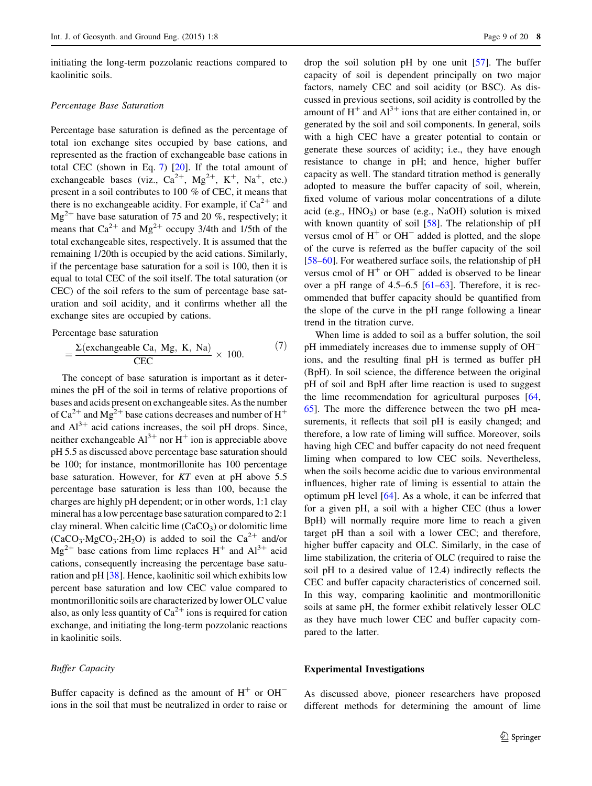initiating the long-term pozzolanic reactions compared to kaolinitic soils.

#### Percentage Base Saturation

Percentage base saturation is defined as the percentage of total ion exchange sites occupied by base cations, and represented as the fraction of exchangeable base cations in total CEC (shown in Eq. 7) [\[20](#page-18-0)]. If the total amount of exchangeable bases (viz.,  $Ca^{2+}$ ,  $Mg^{2+}$ ,  $K^+$ ,  $Na^+$ , etc.) present in a soil contributes to 100 % of CEC, it means that there is no exchangeable acidity. For example, if  $Ca^{2+}$  and  $Mg^{2+}$  have base saturation of 75 and 20 %, respectively; it means that  $Ca^{2+}$  and  $Mg^{2+}$  occupy 3/4th and 1/5th of the total exchangeable sites, respectively. It is assumed that the remaining 1/20th is occupied by the acid cations. Similarly, if the percentage base saturation for a soil is 100, then it is equal to total CEC of the soil itself. The total saturation (or CEC) of the soil refers to the sum of percentage base saturation and soil acidity, and it confirms whether all the exchange sites are occupied by cations.

Percentage base saturation

$$
=\frac{\Sigma(\text{exchangeable Ca, Mg, K, Na})}{\text{CEC}} \times 100. \tag{7}
$$

The concept of base saturation is important as it determines the pH of the soil in terms of relative proportions of bases and acids present on exchangeable sites. As the number of Ca<sup>2+</sup> and Mg<sup>2+</sup> base cations decreases and number of H<sup>+</sup> and  $Al^{3+}$  acid cations increases, the soil pH drops. Since, neither exchangeable  $Al^{3+}$  nor  $H^+$  ion is appreciable above pH 5.5 as discussed above percentage base saturation should be 100; for instance, montmorillonite has 100 percentage base saturation. However, for KT even at pH above 5.5 percentage base saturation is less than 100, because the charges are highly pH dependent; or in other words, 1:1 clay mineral has a low percentage base saturation compared to 2:1 clay mineral. When calcitic lime  $(CaCO<sub>3</sub>)$  or dolomitic lime  $(CaCO<sub>3</sub>·MgCO<sub>3</sub>·2H<sub>2</sub>O)$  is added to soil the  $Ca<sup>2+</sup>$  and/or  $Mg^{2+}$  base cations from lime replaces H<sup>+</sup> and Al<sup>3+</sup> acid cations, consequently increasing the percentage base saturation and pH [\[38](#page-18-0)]. Hence, kaolinitic soil which exhibits low percent base saturation and low CEC value compared to montmorillonitic soils are characterized by lower OLC value also, as only less quantity of  $Ca^{2+}$  ions is required for cation exchange, and initiating the long-term pozzolanic reactions in kaolinitic soils.

## Buffer Capacity

Buffer capacity is defined as the amount of  $H^+$  or  $OH^$ ions in the soil that must be neutralized in order to raise or drop the soil solution pH by one unit [[57\]](#page-18-0). The buffer capacity of soil is dependent principally on two major factors, namely CEC and soil acidity (or BSC). As discussed in previous sections, soil acidity is controlled by the amount of  $H^+$  and  $Al^{3+}$  ions that are either contained in, or generated by the soil and soil components. In general, soils with a high CEC have a greater potential to contain or generate these sources of acidity; i.e., they have enough resistance to change in pH; and hence, higher buffer capacity as well. The standard titration method is generally adopted to measure the buffer capacity of soil, wherein, fixed volume of various molar concentrations of a dilute acid (e.g.,  $HNO<sub>3</sub>$ ) or base (e.g., NaOH) solution is mixed with known quantity of soil  $[58]$  $[58]$  $[58]$ . The relationship of pH versus cmol of  $H^+$  or OH<sup>-</sup> added is plotted, and the slope of the curve is referred as the buffer capacity of the soil [\[58–60](#page-18-0)]. For weathered surface soils, the relationship of pH versus cmol of  $H^+$  or  $OH^-$  added is observed to be linear over a pH range of 4.5–6.5 [[61–63\]](#page-18-0). Therefore, it is recommended that buffer capacity should be quantified from the slope of the curve in the pH range following a linear trend in the titration curve.

When lime is added to soil as a buffer solution, the soil pH immediately increases due to immense supply of OHions, and the resulting final pH is termed as buffer pH (BpH). In soil science, the difference between the original pH of soil and BpH after lime reaction is used to suggest the lime recommendation for agricultural purposes [[64,](#page-19-0) [65](#page-19-0)]. The more the difference between the two pH measurements, it reflects that soil pH is easily changed; and therefore, a low rate of liming will suffice. Moreover, soils having high CEC and buffer capacity do not need frequent liming when compared to low CEC soils. Nevertheless, when the soils become acidic due to various environmental influences, higher rate of liming is essential to attain the optimum pH level [\[64](#page-19-0)]. As a whole, it can be inferred that for a given pH, a soil with a higher CEC (thus a lower BpH) will normally require more lime to reach a given target pH than a soil with a lower CEC; and therefore, higher buffer capacity and OLC. Similarly, in the case of lime stabilization, the criteria of OLC (required to raise the soil pH to a desired value of 12.4) indirectly reflects the CEC and buffer capacity characteristics of concerned soil. In this way, comparing kaolinitic and montmorillonitic soils at same pH, the former exhibit relatively lesser OLC as they have much lower CEC and buffer capacity compared to the latter.

## Experimental Investigations

As discussed above, pioneer researchers have proposed different methods for determining the amount of lime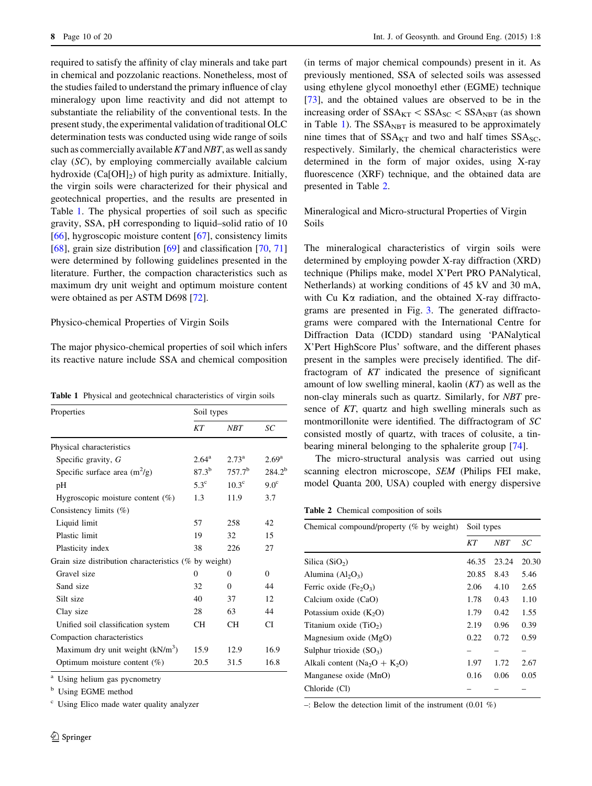required to satisfy the affinity of clay minerals and take part in chemical and pozzolanic reactions. Nonetheless, most of the studies failed to understand the primary influence of clay mineralogy upon lime reactivity and did not attempt to substantiate the reliability of the conventional tests. In the present study, the experimental validation of traditional OLC determination tests was conducted using wide range of soils such as commercially available KT and NBT, as well as sandy clay (SC), by employing commercially available calcium hydroxide  $(Ca[OH]_2)$  of high purity as admixture. Initially, the virgin soils were characterized for their physical and geotechnical properties, and the results are presented in Table 1. The physical properties of soil such as specific gravity, SSA, pH corresponding to liquid–solid ratio of 10 [\[66](#page-19-0)], hygroscopic moisture content [\[67](#page-19-0)], consistency limits [\[68](#page-19-0)], grain size distribution [[69\]](#page-19-0) and classification [\[70](#page-19-0), [71\]](#page-19-0) were determined by following guidelines presented in the literature. Further, the compaction characteristics such as maximum dry unit weight and optimum moisture content were obtained as per ASTM D698 [\[72](#page-19-0)].

#### Physico-chemical Properties of Virgin Soils

The major physico-chemical properties of soil which infers its reactive nature include SSA and chemical composition

|  |  |  |  | Table 1 Physical and geotechnical characteristics of virgin soils |  |  |  |
|--|--|--|--|-------------------------------------------------------------------|--|--|--|
|--|--|--|--|-------------------------------------------------------------------|--|--|--|

| Properties                                               | Soil types     |                    |                   |  |  |
|----------------------------------------------------------|----------------|--------------------|-------------------|--|--|
|                                                          | KT.            | <b>NBT</b>         | SC                |  |  |
| Physical characteristics                                 |                |                    |                   |  |  |
| Specific gravity, G                                      | $2.64^{\rm a}$ | $2.73^{\rm a}$     | 2.69 <sup>a</sup> |  |  |
| Specific surface area $(m^2/g)$                          |                | $87.3^b$ $757.7^b$ | $284.2^{b}$       |  |  |
| pH                                                       | $5.3^\circ$    | $10.3^{\circ}$     | $9.0^\circ$       |  |  |
| Hygroscopic moisture content $(\%)$                      | 1.3            | 11.9               | 3.7               |  |  |
| Consistency limits $(\%)$                                |                |                    |                   |  |  |
| Liquid limit                                             | 57             | 258                | 42                |  |  |
| Plastic limit                                            | 19             | 32                 | 15                |  |  |
| Plasticity index                                         | 38             | 226                | 27                |  |  |
| Grain size distribution characteristics $(\%$ by weight) |                |                    |                   |  |  |
| Gravel size                                              | 0              | $\Omega$           | $\Omega$          |  |  |
| Sand size                                                | 32             | $\Omega$           | 44                |  |  |
| Silt size                                                | 40             | 37                 | 12                |  |  |
| Clay size                                                | 28             | 63                 | 44                |  |  |
| Unified soil classification system                       | CH.            | CН                 | CI.               |  |  |
| Compaction characteristics                               |                |                    |                   |  |  |
| Maximum dry unit weight $(kN/m3)$                        | 15.9           | 12.9               | 16.9              |  |  |
| Optimum moisture content $(\%)$                          | 20.5           | 31.5               | 16.8              |  |  |

<sup>a</sup> Using helium gas pycnometry

<sup>b</sup> Using EGME method

<sup>c</sup> Using Elico made water quality analyzer

(in terms of major chemical compounds) present in it. As previously mentioned, SSA of selected soils was assessed using ethylene glycol monoethyl ether (EGME) technique [\[73](#page-19-0)], and the obtained values are observed to be in the increasing order of  $SSA_{KT} < SSA_{SC} < SSA_{NBT}$  (as shown in Table 1). The  $SSA_{NBT}$  is measured to be approximately nine times that of  $SSA_{KT}$  and two and half times  $SSA_{SC}$ , respectively. Similarly, the chemical characteristics were determined in the form of major oxides, using X-ray fluorescence (XRF) technique, and the obtained data are presented in Table 2.

Mineralogical and Micro-structural Properties of Virgin Soils

The mineralogical characteristics of virgin soils were determined by employing powder X-ray diffraction (XRD) technique (Philips make, model X'Pert PRO PANalytical, Netherlands) at working conditions of 45 kV and 30 mA, with Cu K $\alpha$  radiation, and the obtained X-ray diffractograms are presented in Fig. [3.](#page-10-0) The generated diffractograms were compared with the International Centre for Diffraction Data (ICDD) standard using 'PANalytical X'Pert HighScore Plus' software, and the different phases present in the samples were precisely identified. The diffractogram of KT indicated the presence of significant amount of low swelling mineral, kaolin (KT) as well as the non-clay minerals such as quartz. Similarly, for NBT presence of KT, quartz and high swelling minerals such as montmorillonite were identified. The diffractogram of SC consisted mostly of quartz, with traces of colusite, a tinbearing mineral belonging to the sphalerite group [[74\]](#page-19-0).

The micro-structural analysis was carried out using scanning electron microscope, SEM (Philips FEI make, model Quanta 200, USA) coupled with energy dispersive

Table 2 Chemical composition of soils

| Chemical compound/property (% by weight) |       | Soil types |       |  |  |
|------------------------------------------|-------|------------|-------|--|--|
|                                          | KT    | NBT        | SC    |  |  |
| Silica $(SiO2)$                          | 46.35 | 23.24      | 20.30 |  |  |
| Alumina $(Al2O3)$                        | 20.85 | 8.43       | 5.46  |  |  |
| Ferric oxide $(Fe2O3)$                   | 2.06  | 4.10       | 2.65  |  |  |
| Calcium oxide (CaO)                      | 1.78  | 0.43       | 1.10  |  |  |
| Potassium oxide $(K2O)$                  | 1.79  | 0.42       | 1.55  |  |  |
| Titanium oxide $(TiO2)$                  | 2.19  | 0.96       | 0.39  |  |  |
| Magnesium oxide (MgO)                    | 0.22  | 0.72       | 0.59  |  |  |
| Sulphur trioxide $(SO_3)$                |       |            |       |  |  |
| Alkali content ( $Na2O + K2O$ )          | 1.97  | 1.72       | 2.67  |  |  |
| Manganese oxide (MnO)                    | 0.16  | 0.06       | 0.05  |  |  |
| Chloride (Cl)                            |       |            |       |  |  |

–: Below the detection limit of the instrument  $(0.01 \%)$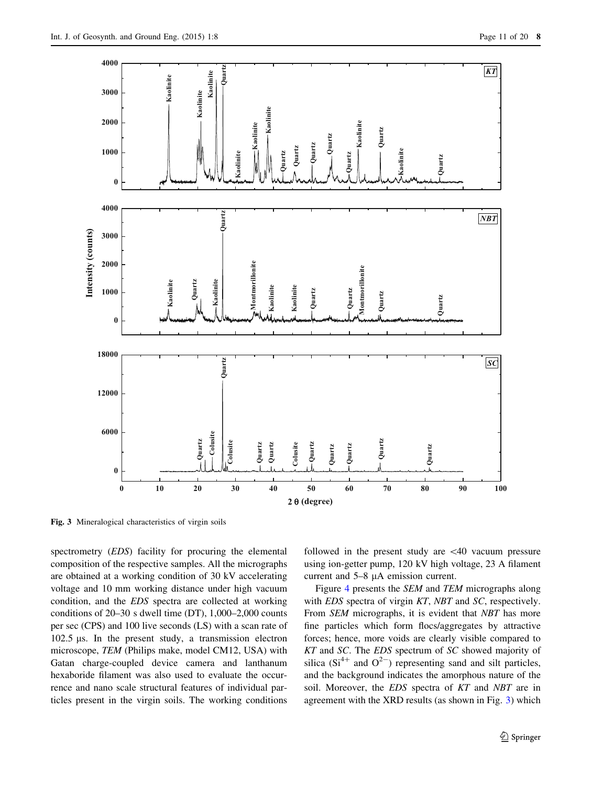<span id="page-10-0"></span>

Fig. 3 Mineralogical characteristics of virgin soils

spectrometry (*EDS*) facility for procuring the elemental composition of the respective samples. All the micrographs are obtained at a working condition of 30 kV accelerating voltage and 10 mm working distance under high vacuum condition, and the EDS spectra are collected at working conditions of 20–30 s dwell time (DT), 1,000–2,000 counts per sec (CPS) and 100 live seconds (LS) with a scan rate of 102.5 ls. In the present study, a transmission electron microscope, TEM (Philips make, model CM12, USA) with Gatan charge-coupled device camera and lanthanum hexaboride filament was also used to evaluate the occurrence and nano scale structural features of individual particles present in the virgin soils. The working conditions followed in the present study are  $\langle 40 \rangle$  vacuum pressure using ion-getter pump, 120 kV high voltage, 23 A filament current and  $5-8$   $\mu$ A emission current.

Figure [4](#page-11-0) presents the SEM and TEM micrographs along with EDS spectra of virgin KT, NBT and SC, respectively. From *SEM* micrographs, it is evident that *NBT* has more fine particles which form flocs/aggregates by attractive forces; hence, more voids are clearly visible compared to KT and SC. The EDS spectrum of SC showed majority of silica ( $Si^{4+}$  and  $O^{2-}$ ) representing sand and silt particles, and the background indicates the amorphous nature of the soil. Moreover, the EDS spectra of KT and NBT are in agreement with the XRD results (as shown in Fig. 3) which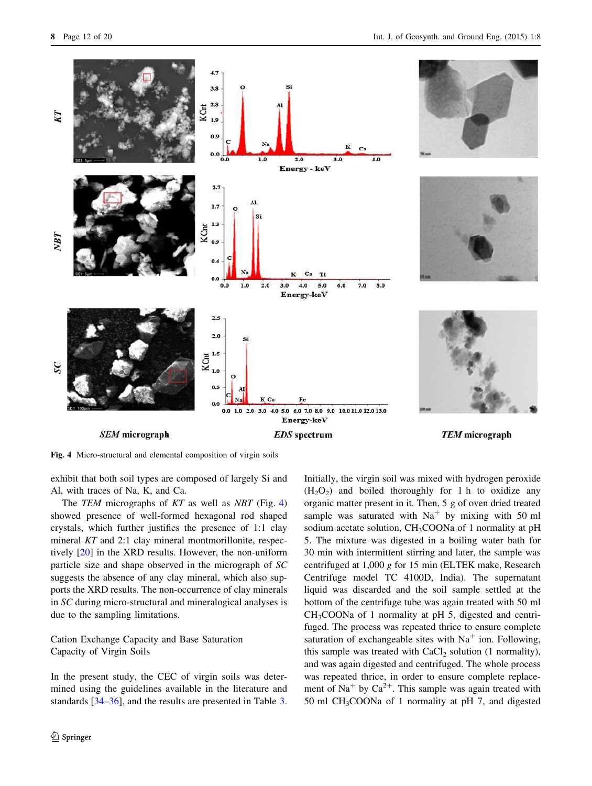<span id="page-11-0"></span>

Fig. 4 Micro-structural and elemental composition of virgin soils

exhibit that both soil types are composed of largely Si and Al, with traces of Na, K, and Ca.

The TEM micrographs of  $KT$  as well as NBT (Fig. 4) showed presence of well-formed hexagonal rod shaped crystals, which further justifies the presence of 1:1 clay mineral KT and 2:1 clay mineral montmorillonite, respectively [[20\]](#page-18-0) in the XRD results. However, the non-uniform particle size and shape observed in the micrograph of SC suggests the absence of any clay mineral, which also supports the XRD results. The non-occurrence of clay minerals in SC during micro-structural and mineralogical analyses is due to the sampling limitations.

Cation Exchange Capacity and Base Saturation Capacity of Virgin Soils

In the present study, the CEC of virgin soils was determined using the guidelines available in the literature and standards [[34–36\]](#page-18-0), and the results are presented in Table [3.](#page-12-0)

Initially, the virgin soil was mixed with hydrogen peroxide  $(H<sub>2</sub>O<sub>2</sub>)$  and boiled thoroughly for 1 h to oxidize any organic matter present in it. Then, 5 g of oven dried treated sample was saturated with  $Na<sup>+</sup>$  by mixing with 50 ml sodium acetate solution, CH<sub>3</sub>COONa of 1 normality at pH 5. The mixture was digested in a boiling water bath for 30 min with intermittent stirring and later, the sample was centrifuged at 1,000 g for 15 min (ELTEK make, Research Centrifuge model TC 4100D, India). The supernatant liquid was discarded and the soil sample settled at the bottom of the centrifuge tube was again treated with 50 ml CH3COONa of 1 normality at pH 5, digested and centrifuged. The process was repeated thrice to ensure complete saturation of exchangeable sites with  $Na<sup>+</sup>$  ion. Following, this sample was treated with  $CaCl<sub>2</sub>$  solution (1 normality), and was again digested and centrifuged. The whole process was repeated thrice, in order to ensure complete replacement of Na<sup>+</sup> by Ca<sup>2+</sup>. This sample was again treated with 50 ml CH3COONa of 1 normality at pH 7, and digested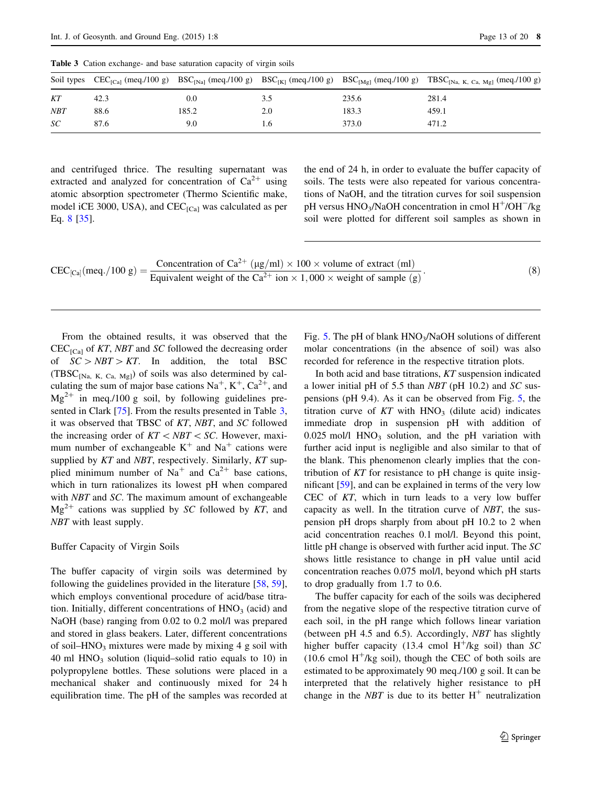<span id="page-12-0"></span>Table 3 Cation exchange- and base saturation capacity of virgin soils

|     |      |       |     |       | Soil types CEC <sub>[Ca]</sub> (meq./100 g) BSC <sub>[Na]</sub> (meq./100 g) BSC <sub>[K]</sub> (meq./100 g) BSC <sub>[Mg]</sub> (meq./100 g) TBSC <sub>[Na, K, Ca, Mg] (meq./100 g)</sub> |
|-----|------|-------|-----|-------|--------------------------------------------------------------------------------------------------------------------------------------------------------------------------------------------|
| KТ  | 42.3 | 0.0   | 3.5 | 235.6 | 281.4                                                                                                                                                                                      |
| NBT | 88.6 | 185.2 | 2.0 | 183.3 | 459.1                                                                                                                                                                                      |
| SC  | 87.6 | 9.0   |     | 373.0 | 471.2                                                                                                                                                                                      |

and centrifuged thrice. The resulting supernatant was extracted and analyzed for concentration of  $Ca^{2+}$  using atomic absorption spectrometer (Thermo Scientific make, model iCE 3000, USA), and  $CEC_{[Cal]}$  was calculated as per Eq. 8 [[35\]](#page-18-0).

the end of 24 h, in order to evaluate the buffer capacity of soils. The tests were also repeated for various concentrations of NaOH, and the titration curves for soil suspension pH versus  $HNO<sub>3</sub>/NaOH$  concentration in cmol  $H<sup>+</sup>/OH<sup>-</sup>/kg$ soil were plotted for different soil samples as shown in

$$
CEC_{[Ca]}(meq./100 g) = \frac{\text{Concentration of Ca}^{2+} (\mu g/ml) \times 100 \times \text{volume of extract (ml)}}{\text{Equivalent weight of the Ca}^{2+} \text{ ion} \times 1,000 \times \text{weight of sample (g)}}.
$$
\n(8)

From the obtained results, it was observed that the  $CEC_{[Cal]}$  of KT, NBT and SC followed the decreasing order of  $SC > NBT > KT$ . In addition, the total BSC  $(TBSC<sub>[Na, K, Ca, Mg]</sub>)$  of soils was also determined by calculating the sum of major base cations  $Na^+$ ,  $K^+$ ,  $Ca^{2+}$ , and  $Mg^{2+}$  in meq./100 g soil, by following guidelines pre-sented in Clark [[75\]](#page-19-0). From the results presented in Table 3, it was observed that TBSC of KT, NBT, and SC followed the increasing order of  $KT < NBT < SC$ . However, maximum number of exchangeable  $K^+$  and  $Na^+$  cations were supplied by KT and NBT, respectively. Similarly, KT supplied minimum number of  $Na<sup>+</sup>$  and  $Ca<sup>2+</sup>$  base cations, which in turn rationalizes its lowest pH when compared with *NBT* and *SC*. The maximum amount of exchangeable  $Mg^{2+}$  cations was supplied by SC followed by KT, and NBT with least supply.

## Buffer Capacity of Virgin Soils

The buffer capacity of virgin soils was determined by following the guidelines provided in the literature [\[58](#page-18-0), [59](#page-18-0)], which employs conventional procedure of acid/base titration. Initially, different concentrations of  $HNO<sub>3</sub>$  (acid) and NaOH (base) ranging from 0.02 to 0.2 mol/l was prepared and stored in glass beakers. Later, different concentrations of soil–HNO<sub>3</sub> mixtures were made by mixing 4 g soil with 40 ml  $HNO<sub>3</sub>$  solution (liquid–solid ratio equals to 10) in polypropylene bottles. These solutions were placed in a mechanical shaker and continuously mixed for 24 h equilibration time. The pH of the samples was recorded at Fig. [5](#page-13-0). The pH of blank  $HNO<sub>3</sub>/NaOH$  solutions of different molar concentrations (in the absence of soil) was also recorded for reference in the respective titration plots.

In both acid and base titrations, KT suspension indicated a lower initial pH of 5.5 than NBT (pH 10.2) and SC suspensions (pH 9.4). As it can be observed from Fig. [5,](#page-13-0) the titration curve of  $KT$  with  $HNO<sub>3</sub>$  (dilute acid) indicates immediate drop in suspension pH with addition of  $0.025$  mol/l  $HNO<sub>3</sub>$  solution, and the pH variation with further acid input is negligible and also similar to that of the blank. This phenomenon clearly implies that the contribution of KT for resistance to pH change is quite insignificant [\[59](#page-18-0)], and can be explained in terms of the very low CEC of KT, which in turn leads to a very low buffer capacity as well. In the titration curve of NBT, the suspension pH drops sharply from about pH 10.2 to 2 when acid concentration reaches 0.1 mol/l. Beyond this point, little pH change is observed with further acid input. The SC shows little resistance to change in pH value until acid concentration reaches 0.075 mol/l, beyond which pH starts to drop gradually from 1.7 to 0.6.

The buffer capacity for each of the soils was deciphered from the negative slope of the respective titration curve of each soil, in the pH range which follows linear variation (between pH 4.5 and 6.5). Accordingly, NBT has slightly higher buffer capacity (13.4 cmol  $H^+/kg$  soil) than SC  $(10.6 \text{ cmol H}^+/\text{kg soil})$ , though the CEC of both soils are estimated to be approximately 90 meq./100 g soil. It can be interpreted that the relatively higher resistance to pH change in the *NBT* is due to its better  $H^+$  neutralization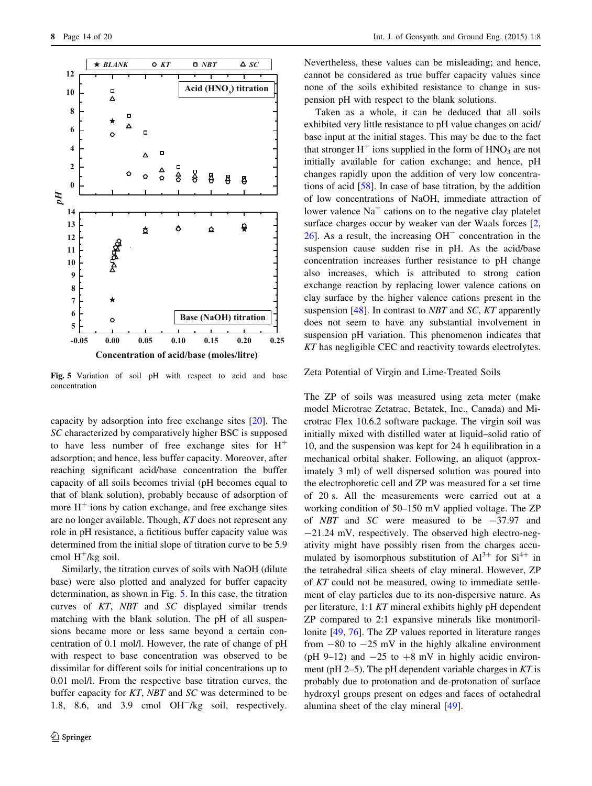<span id="page-13-0"></span>

Fig. 5 Variation of soil pH with respect to acid and base concentration

capacity by adsorption into free exchange sites [[20\]](#page-18-0). The SC characterized by comparatively higher BSC is supposed to have less number of free exchange sites for  $H<sup>+</sup>$ adsorption; and hence, less buffer capacity. Moreover, after reaching significant acid/base concentration the buffer capacity of all soils becomes trivial (pH becomes equal to that of blank solution), probably because of adsorption of more  $H^+$  ions by cation exchange, and free exchange sites are no longer available. Though, KT does not represent any role in pH resistance, a fictitious buffer capacity value was determined from the initial slope of titration curve to be 5.9 cmol  $H^+/kg$  soil.

Similarly, the titration curves of soils with NaOH (dilute base) were also plotted and analyzed for buffer capacity determination, as shown in Fig. 5. In this case, the titration curves of KT, NBT and SC displayed similar trends matching with the blank solution. The pH of all suspensions became more or less same beyond a certain concentration of 0.1 mol/l. However, the rate of change of pH with respect to base concentration was observed to be dissimilar for different soils for initial concentrations up to 0.01 mol/l. From the respective base titration curves, the buffer capacity for KT, NBT and SC was determined to be 1.8, 8.6, and 3.9 cmol OH- /kg soil, respectively.

Nevertheless, these values can be misleading; and hence, cannot be considered as true buffer capacity values since none of the soils exhibited resistance to change in suspension pH with respect to the blank solutions.

Taken as a whole, it can be deduced that all soils exhibited very little resistance to pH value changes on acid/ base input at the initial stages. This may be due to the fact that stronger  $H^+$  ions supplied in the form of  $HNO<sub>3</sub>$  are not initially available for cation exchange; and hence, pH changes rapidly upon the addition of very low concentrations of acid [\[58](#page-18-0)]. In case of base titration, by the addition of low concentrations of NaOH, immediate attraction of lower valence  $Na<sup>+</sup>$  cations on to the negative clay platelet surface charges occur by weaker van der Waals forces [[2,](#page-17-0)  $26$ ]. As a result, the increasing OH<sup>-</sup> concentration in the suspension cause sudden rise in pH. As the acid/base concentration increases further resistance to pH change also increases, which is attributed to strong cation exchange reaction by replacing lower valence cations on clay surface by the higher valence cations present in the suspension [\[48](#page-18-0)]. In contrast to *NBT* and *SC*, *KT* apparently does not seem to have any substantial involvement in suspension pH variation. This phenomenon indicates that KT has negligible CEC and reactivity towards electrolytes.

#### Zeta Potential of Virgin and Lime-Treated Soils

The ZP of soils was measured using zeta meter (make model Microtrac Zetatrac, Betatek, Inc., Canada) and Microtrac Flex 10.6.2 software package. The virgin soil was initially mixed with distilled water at liquid–solid ratio of 10, and the suspension was kept for 24 h equilibration in a mechanical orbital shaker. Following, an aliquot (approximately 3 ml) of well dispersed solution was poured into the electrophoretic cell and ZP was measured for a set time of 20 s. All the measurements were carried out at a working condition of 50–150 mV applied voltage. The ZP of  $NBT$  and SC were measured to be  $-37.97$  and  $-21.24$  mV, respectively. The observed high electro-negativity might have possibly risen from the charges accumulated by isomorphous substitution of  $Al^{3+}$  for  $Si^{4+}$  in the tetrahedral silica sheets of clay mineral. However, ZP of KT could not be measured, owing to immediate settlement of clay particles due to its non-dispersive nature. As per literature, 1:1 KT mineral exhibits highly pH dependent ZP compared to 2:1 expansive minerals like montmorillonite [\[49](#page-18-0), [76\]](#page-19-0). The ZP values reported in literature ranges from  $-80$  to  $-25$  mV in the highly alkaline environment (pH 9–12) and  $-25$  to  $+8$  mV in highly acidic environment (pH 2–5). The pH dependent variable charges in  $KT$  is probably due to protonation and de-protonation of surface hydroxyl groups present on edges and faces of octahedral alumina sheet of the clay mineral [\[49](#page-18-0)].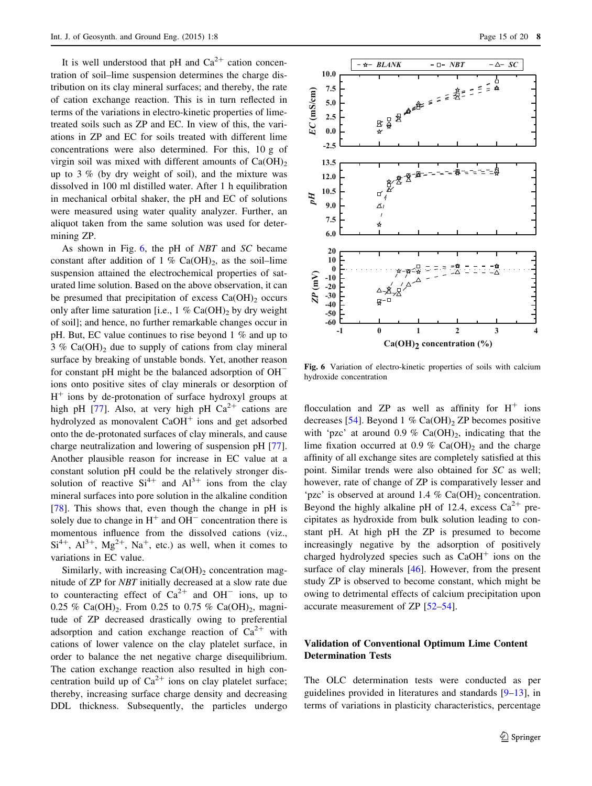<span id="page-14-0"></span>It is well understood that pH and  $Ca^{2+}$  cation concentration of soil–lime suspension determines the charge distribution on its clay mineral surfaces; and thereby, the rate of cation exchange reaction. This is in turn reflected in terms of the variations in electro-kinetic properties of limetreated soils such as ZP and EC. In view of this, the variations in ZP and EC for soils treated with different lime concentrations were also determined. For this, 10 g of virgin soil was mixed with different amounts of  $Ca(OH)_{2}$ up to 3 % (by dry weight of soil), and the mixture was dissolved in 100 ml distilled water. After 1 h equilibration in mechanical orbital shaker, the pH and EC of solutions were measured using water quality analyzer. Further, an aliquot taken from the same solution was used for determining ZP.

As shown in Fig. 6, the pH of NBT and SC became constant after addition of 1 %  $Ca(OH)_2$ , as the soil–lime suspension attained the electrochemical properties of saturated lime solution. Based on the above observation, it can be presumed that precipitation of excess  $Ca(OH)_2$  occurs only after lime saturation [i.e.,  $1\%$  Ca(OH)<sub>2</sub> by dry weight of soil]; and hence, no further remarkable changes occur in pH. But, EC value continues to rise beyond 1 % and up to  $3\%$  Ca(OH)<sub>2</sub> due to supply of cations from clay mineral surface by breaking of unstable bonds. Yet, another reason for constant pH might be the balanced adsorption of OHions onto positive sites of clay minerals or desorption of H ? ions by de-protonation of surface hydroxyl groups at high pH [[77\]](#page-19-0). Also, at very high pH  $Ca^{2+}$  cations are hydrolyzed as monovalent CaOH<sup>+</sup> ions and get adsorbed onto the de-protonated surfaces of clay minerals, and cause charge neutralization and lowering of suspension pH [\[77](#page-19-0)]. Another plausible reason for increase in EC value at a constant solution pH could be the relatively stronger dissolution of reactive  $Si^{4+}$  and  $Al^{3+}$  ions from the clay mineral surfaces into pore solution in the alkaline condition [\[78](#page-19-0)]. This shows that, even though the change in pH is solely due to change in  $H^+$  and  $OH^-$  concentration there is momentous influence from the dissolved cations (viz.,  $Si<sup>4+</sup>$ ,  $Al<sup>3+</sup>$ ,  $Mg<sup>2+</sup>$ ,  $Na<sup>+</sup>$ , etc.) as well, when it comes to variations in EC value.

Similarly, with increasing  $Ca(OH)_2$  concentration magnitude of ZP for NBT initially decreased at a slow rate due to counteracting effect of  $Ca^{2+}$  and OH<sup>-</sup> ions, up to 0.25 % Ca(OH)<sub>2</sub>. From 0.25 to 0.75 % Ca(OH)<sub>2</sub>, magnitude of ZP decreased drastically owing to preferential adsorption and cation exchange reaction of  $Ca^{2+}$  with cations of lower valence on the clay platelet surface, in order to balance the net negative charge disequilibrium. The cation exchange reaction also resulted in high concentration build up of  $Ca^{2+}$  ions on clay platelet surface; thereby, increasing surface charge density and decreasing DDL thickness. Subsequently, the particles undergo



Fig. 6 Variation of electro-kinetic properties of soils with calcium hydroxide concentration

flocculation and ZP as well as affinity for  $H^+$  ions decreases [\[54\]](#page-18-0). Beyond 1 % Ca(OH)<sub>2</sub> ZP becomes positive with 'pzc' at around  $0.9 \%$  Ca(OH)<sub>2</sub>, indicating that the lime fixation occurred at 0.9 % Ca(OH)<sub>2</sub> and the charge affinity of all exchange sites are completely satisfied at this point. Similar trends were also obtained for SC as well; however, rate of change of ZP is comparatively lesser and 'pzc' is observed at around 1.4 % Ca(OH)<sub>2</sub> concentration. Beyond the highly alkaline pH of 12.4, excess  $Ca^{2+}$  precipitates as hydroxide from bulk solution leading to constant pH. At high pH the ZP is presumed to become increasingly negative by the adsorption of positively charged hydrolyzed species such as CaOH<sup>+</sup> ions on the surface of clay minerals [\[46](#page-18-0)]. However, from the present study ZP is observed to become constant, which might be owing to detrimental effects of calcium precipitation upon accurate measurement of ZP [[52–54\]](#page-18-0).

# Validation of Conventional Optimum Lime Content Determination Tests

The OLC determination tests were conducted as per guidelines provided in literatures and standards [\[9–13](#page-17-0)], in terms of variations in plasticity characteristics, percentage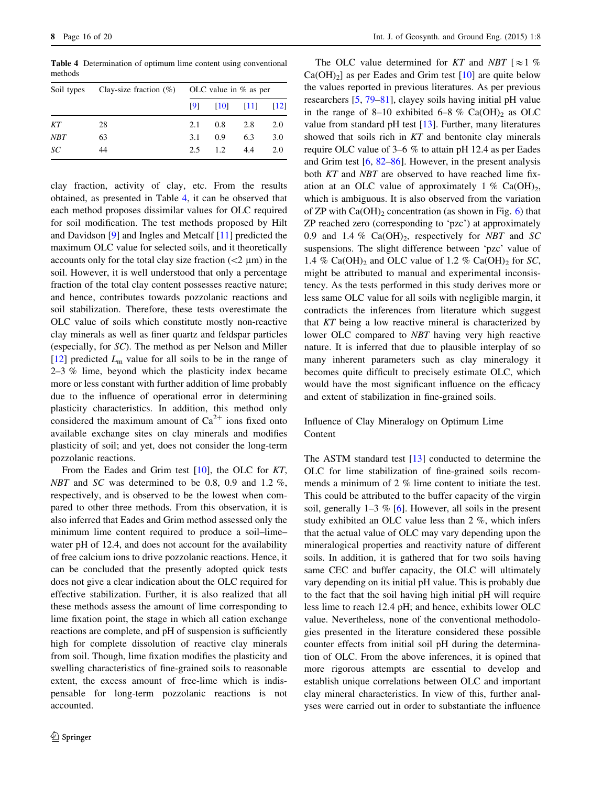Table 4 Determination of optimum lime content using conventional methods

| Soil types |    | Clay-size fraction $(\%)$ OLC value in % as per |                     |     |                    |  |
|------------|----|-------------------------------------------------|---------------------|-----|--------------------|--|
|            |    |                                                 | $[9]$ $[10]$ $[11]$ |     | $\lceil 12 \rceil$ |  |
| KТ         | 28 | 2.1                                             | $0.8^{\circ}$       | 2.8 | 2.0                |  |
| NBT        | 63 | 3.1                                             | 0.9                 | 6.3 | 3.0                |  |
| SC         | 44 | 2.5                                             | 1.2.                | 4.4 | 2.0                |  |

clay fraction, activity of clay, etc. From the results obtained, as presented in Table 4, it can be observed that each method proposes dissimilar values for OLC required for soil modification. The test methods proposed by Hilt and Davidson [\[9](#page-17-0)] and Ingles and Metcalf [\[11](#page-17-0)] predicted the maximum OLC value for selected soils, and it theoretically accounts only for the total clay size fraction  $(< 2 \mu m)$  in the soil. However, it is well understood that only a percentage fraction of the total clay content possesses reactive nature; and hence, contributes towards pozzolanic reactions and soil stabilization. Therefore, these tests overestimate the OLC value of soils which constitute mostly non-reactive clay minerals as well as finer quartz and feldspar particles (especially, for SC). The method as per Nelson and Miller [\[12](#page-17-0)] predicted  $L<sub>m</sub>$  value for all soils to be in the range of 2–3 % lime, beyond which the plasticity index became more or less constant with further addition of lime probably due to the influence of operational error in determining plasticity characteristics. In addition, this method only considered the maximum amount of  $Ca^{2+}$  ions fixed onto available exchange sites on clay minerals and modifies plasticity of soil; and yet, does not consider the long-term pozzolanic reactions.

From the Eades and Grim test [\[10](#page-17-0)], the OLC for KT,  $NBT$  and SC was determined to be 0.8, 0.9 and 1.2 %, respectively, and is observed to be the lowest when compared to other three methods. From this observation, it is also inferred that Eades and Grim method assessed only the minimum lime content required to produce a soil–lime– water pH of 12.4, and does not account for the availability of free calcium ions to drive pozzolanic reactions. Hence, it can be concluded that the presently adopted quick tests does not give a clear indication about the OLC required for effective stabilization. Further, it is also realized that all these methods assess the amount of lime corresponding to lime fixation point, the stage in which all cation exchange reactions are complete, and pH of suspension is sufficiently high for complete dissolution of reactive clay minerals from soil. Though, lime fixation modifies the plasticity and swelling characteristics of fine-grained soils to reasonable extent, the excess amount of free-lime which is indispensable for long-term pozzolanic reactions is not accounted.

The OLC value determined for KT and NBT  $\lceil \approx 1 \rceil$ %  $Ca(OH)<sub>2</sub>$ ] as per Eades and Grim test [[10\]](#page-17-0) are quite below the values reported in previous literatures. As per previous researchers [\[5](#page-17-0), [79–81\]](#page-19-0), clayey soils having initial pH value in the range of 8–10 exhibited 6–8 % Ca(OH)<sub>2</sub> as OLC value from standard pH test [\[13](#page-17-0)]. Further, many literatures showed that soils rich in KT and bentonite clay minerals require OLC value of 3–6 % to attain pH 12.4 as per Eades and Grim test [[6,](#page-17-0) [82–86](#page-19-0)]. However, in the present analysis both KT and NBT are observed to have reached lime fixation at an OLC value of approximately  $1\%$  Ca(OH)<sub>2</sub>, which is ambiguous. It is also observed from the variation of ZP with  $Ca(OH)_2$  concentration (as shown in Fig. [6](#page-14-0)) that ZP reached zero (corresponding to 'pzc') at approximately 0.9 and 1.4 %  $Ca(OH)_2$ , respectively for *NBT* and *SC* suspensions. The slight difference between 'pzc' value of 1.4 % Ca(OH)<sub>2</sub> and OLC value of 1.2 % Ca(OH)<sub>2</sub> for SC, might be attributed to manual and experimental inconsistency. As the tests performed in this study derives more or less same OLC value for all soils with negligible margin, it contradicts the inferences from literature which suggest that KT being a low reactive mineral is characterized by lower OLC compared to NBT having very high reactive nature. It is inferred that due to plausible interplay of so many inherent parameters such as clay mineralogy it becomes quite difficult to precisely estimate OLC, which would have the most significant influence on the efficacy and extent of stabilization in fine-grained soils.

# Influence of Clay Mineralogy on Optimum Lime Content

The ASTM standard test [\[13](#page-17-0)] conducted to determine the OLC for lime stabilization of fine-grained soils recommends a minimum of 2 % lime content to initiate the test. This could be attributed to the buffer capacity of the virgin soil, generally  $1-3$  % [\[6](#page-17-0)]. However, all soils in the present study exhibited an OLC value less than 2 %, which infers that the actual value of OLC may vary depending upon the mineralogical properties and reactivity nature of different soils. In addition, it is gathered that for two soils having same CEC and buffer capacity, the OLC will ultimately vary depending on its initial pH value. This is probably due to the fact that the soil having high initial pH will require less lime to reach 12.4 pH; and hence, exhibits lower OLC value. Nevertheless, none of the conventional methodologies presented in the literature considered these possible counter effects from initial soil pH during the determination of OLC. From the above inferences, it is opined that more rigorous attempts are essential to develop and establish unique correlations between OLC and important clay mineral characteristics. In view of this, further analyses were carried out in order to substantiate the influence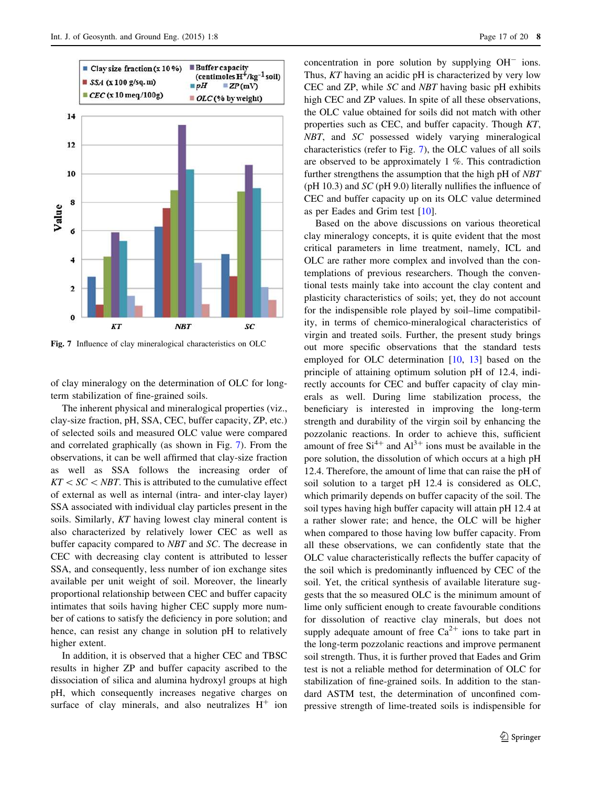

Fig. 7 Influence of clay mineralogical characteristics on OLC

of clay mineralogy on the determination of OLC for longterm stabilization of fine-grained soils.

The inherent physical and mineralogical properties (viz., clay-size fraction, pH, SSA, CEC, buffer capacity, ZP, etc.) of selected soils and measured OLC value were compared and correlated graphically (as shown in Fig. 7). From the observations, it can be well affirmed that clay-size fraction as well as SSA follows the increasing order of  $KT < SC < NBT$ . This is attributed to the cumulative effect of external as well as internal (intra- and inter-clay layer) SSA associated with individual clay particles present in the soils. Similarly, KT having lowest clay mineral content is also characterized by relatively lower CEC as well as buffer capacity compared to NBT and SC. The decrease in CEC with decreasing clay content is attributed to lesser SSA, and consequently, less number of ion exchange sites available per unit weight of soil. Moreover, the linearly proportional relationship between CEC and buffer capacity intimates that soils having higher CEC supply more number of cations to satisfy the deficiency in pore solution; and hence, can resist any change in solution pH to relatively higher extent.

In addition, it is observed that a higher CEC and TBSC results in higher ZP and buffer capacity ascribed to the dissociation of silica and alumina hydroxyl groups at high pH, which consequently increases negative charges on surface of clay minerals, and also neutralizes  $H^+$  ion

concentration in pore solution by supplying  $OH^-$  ions. Thus, KT having an acidic pH is characterized by very low CEC and ZP, while SC and NBT having basic pH exhibits high CEC and ZP values. In spite of all these observations, the OLC value obtained for soils did not match with other properties such as CEC, and buffer capacity. Though KT, NBT, and SC possessed widely varying mineralogical characteristics (refer to Fig. 7), the OLC values of all soils are observed to be approximately 1 %. This contradiction further strengthens the assumption that the high pH of NBT (pH 10.3) and  $SC$  (pH 9.0) literally nullifies the influence of CEC and buffer capacity up on its OLC value determined as per Eades and Grim test [[10\]](#page-17-0).

Based on the above discussions on various theoretical clay mineralogy concepts, it is quite evident that the most critical parameters in lime treatment, namely, ICL and OLC are rather more complex and involved than the contemplations of previous researchers. Though the conventional tests mainly take into account the clay content and plasticity characteristics of soils; yet, they do not account for the indispensible role played by soil–lime compatibility, in terms of chemico-mineralogical characteristics of virgin and treated soils. Further, the present study brings out more specific observations that the standard tests employed for OLC determination [[10,](#page-17-0) [13](#page-17-0)] based on the principle of attaining optimum solution pH of 12.4, indirectly accounts for CEC and buffer capacity of clay minerals as well. During lime stabilization process, the beneficiary is interested in improving the long-term strength and durability of the virgin soil by enhancing the pozzolanic reactions. In order to achieve this, sufficient amount of free  $Si^{4+}$  and  $Al^{3+}$  ions must be available in the pore solution, the dissolution of which occurs at a high pH 12.4. Therefore, the amount of lime that can raise the pH of soil solution to a target pH 12.4 is considered as OLC, which primarily depends on buffer capacity of the soil. The soil types having high buffer capacity will attain pH 12.4 at a rather slower rate; and hence, the OLC will be higher when compared to those having low buffer capacity. From all these observations, we can confidently state that the OLC value characteristically reflects the buffer capacity of the soil which is predominantly influenced by CEC of the soil. Yet, the critical synthesis of available literature suggests that the so measured OLC is the minimum amount of lime only sufficient enough to create favourable conditions for dissolution of reactive clay minerals, but does not supply adequate amount of free  $Ca^{2+}$  ions to take part in the long-term pozzolanic reactions and improve permanent soil strength. Thus, it is further proved that Eades and Grim test is not a reliable method for determination of OLC for stabilization of fine-grained soils. In addition to the standard ASTM test, the determination of unconfined compressive strength of lime-treated soils is indispensible for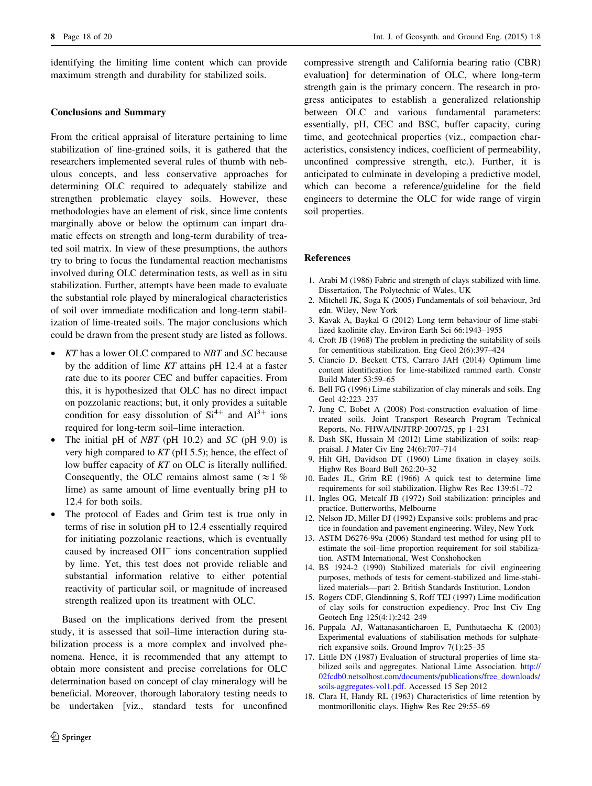<span id="page-17-0"></span>identifying the limiting lime content which can provide maximum strength and durability for stabilized soils.

## Conclusions and Summary

From the critical appraisal of literature pertaining to lime stabilization of fine-grained soils, it is gathered that the researchers implemented several rules of thumb with nebulous concepts, and less conservative approaches for determining OLC required to adequately stabilize and strengthen problematic clayey soils. However, these methodologies have an element of risk, since lime contents marginally above or below the optimum can impart dramatic effects on strength and long-term durability of treated soil matrix. In view of these presumptions, the authors try to bring to focus the fundamental reaction mechanisms involved during OLC determination tests, as well as in situ stabilization. Further, attempts have been made to evaluate the substantial role played by mineralogical characteristics of soil over immediate modification and long-term stabilization of lime-treated soils. The major conclusions which could be drawn from the present study are listed as follows.

- KT has a lower OLC compared to NBT and SC because by the addition of lime KT attains pH 12.4 at a faster rate due to its poorer CEC and buffer capacities. From this, it is hypothesized that OLC has no direct impact on pozzolanic reactions; but, it only provides a suitable condition for easy dissolution of  $Si^{4+}$  and  $Al^{3+}$  ions required for long-term soil–lime interaction.
- The initial pH of  $NBT$  (pH 10.2) and SC (pH 9.0) is very high compared to  $KT$  (pH 5.5); hence, the effect of low buffer capacity of KT on OLC is literally nullified. Consequently, the OLC remains almost same ( $\approx$  1 %) lime) as same amount of lime eventually bring pH to 12.4 for both soils.
- The protocol of Eades and Grim test is true only in terms of rise in solution pH to 12.4 essentially required for initiating pozzolanic reactions, which is eventually caused by increased OH<sup>-</sup> ions concentration supplied by lime. Yet, this test does not provide reliable and substantial information relative to either potential reactivity of particular soil, or magnitude of increased strength realized upon its treatment with OLC.

Based on the implications derived from the present study, it is assessed that soil–lime interaction during stabilization process is a more complex and involved phenomena. Hence, it is recommended that any attempt to obtain more consistent and precise correlations for OLC determination based on concept of clay mineralogy will be beneficial. Moreover, thorough laboratory testing needs to be undertaken [viz., standard tests for unconfined compressive strength and California bearing ratio (CBR) evaluation] for determination of OLC, where long-term strength gain is the primary concern. The research in progress anticipates to establish a generalized relationship between OLC and various fundamental parameters: essentially, pH, CEC and BSC, buffer capacity, curing time, and geotechnical properties (viz., compaction characteristics, consistency indices, coefficient of permeability, unconfined compressive strength, etc.). Further, it is anticipated to culminate in developing a predictive model, which can become a reference/guideline for the field engineers to determine the OLC for wide range of virgin soil properties.

## References

- 1. Arabi M (1986) Fabric and strength of clays stabilized with lime. Dissertation, The Polytechnic of Wales, UK
- 2. Mitchell JK, Soga K (2005) Fundamentals of soil behaviour, 3rd edn. Wiley, New York
- 3. Kavak A, Baykal G (2012) Long term behaviour of lime-stabilized kaolinite clay. Environ Earth Sci 66:1943–1955
- 4. Croft JB (1968) The problem in predicting the suitability of soils for cementitious stabilization. Eng Geol 2(6):397–424
- 5. Ciancio D, Beckett CTS, Carraro JAH (2014) Optimum lime content identification for lime-stabilized rammed earth. Constr Build Mater 53:59–65
- 6. Bell FG (1996) Lime stabilization of clay minerals and soils. Eng Geol 42:223–237
- 7. Jung C, Bobet A (2008) Post-construction evaluation of limetreated soils. Joint Transport Research Program Technical Reports, No. FHWA/IN/JTRP-2007/25, pp 1–231
- 8. Dash SK, Hussain M (2012) Lime stabilization of soils: reappraisal. J Mater Civ Eng 24(6):707–714
- 9. Hilt GH, Davidson DT (1960) Lime fixation in clayey soils. Highw Res Board Bull 262:20–32
- 10. Eades JL, Grim RE (1966) A quick test to determine lime requirements for soil stabilization. Highw Res Rec 139:61–72
- 11. Ingles OG, Metcalf JB (1972) Soil stabilization: principles and practice. Butterworths, Melbourne
- 12. Nelson JD, Miller DJ (1992) Expansive soils: problems and practice in foundation and pavement engineering. Wiley, New York
- 13. ASTM D6276-99a (2006) Standard test method for using pH to estimate the soil–lime proportion requirement for soil stabilization. ASTM International, West Conshohocken
- 14. BS 1924-2 (1990) Stabilized materials for civil engineering purposes, methods of tests for cement-stabilized and lime-stabilized materials—part 2. British Standards Institution, London
- 15. Rogers CDF, Glendinning S, Roff TEJ (1997) Lime modification of clay soils for construction expediency. Proc Inst Civ Eng Geotech Eng 125(4:1):242–249
- 16. Puppala AJ, Wattanasanticharoen E, Punthutaecha K (2003) Experimental evaluations of stabilisation methods for sulphaterich expansive soils. Ground Improv 7(1):25–35
- 17. Little DN (1987) Evaluation of structural properties of lime stabilized soils and aggregates. National Lime Association. [http://](http://02fcdb0.netsolhost.com/documents/publications/free_downloads/soils-aggregates-vol1.pdf) [02fcdb0.netsolhost.com/documents/publications/free\\_downloads/](http://02fcdb0.netsolhost.com/documents/publications/free_downloads/soils-aggregates-vol1.pdf) [soils-aggregates-vol1.pdf.](http://02fcdb0.netsolhost.com/documents/publications/free_downloads/soils-aggregates-vol1.pdf) Accessed 15 Sep 2012
- 18. Clara H, Handy RL (1963) Characteristics of lime retention by montmorillonitic clays. Highw Res Rec 29:55–69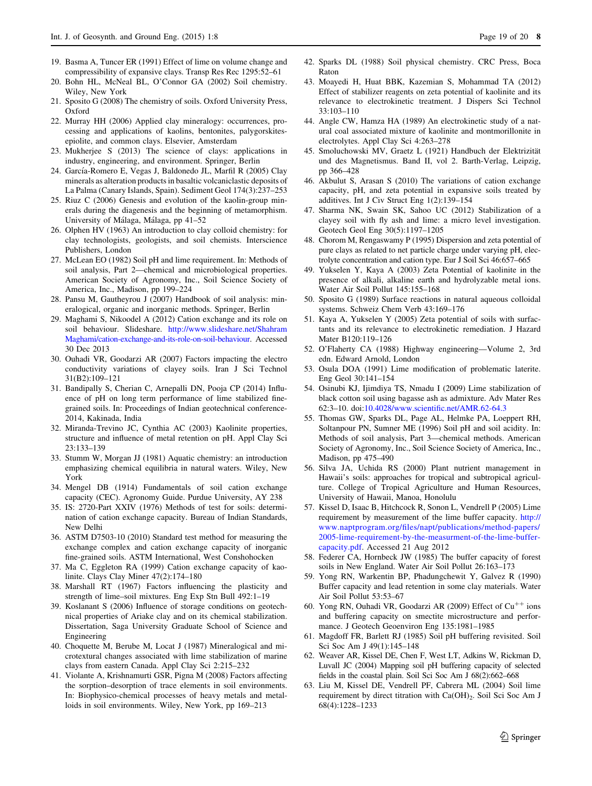- <span id="page-18-0"></span>19. Basma A, Tuncer ER (1991) Effect of lime on volume change and compressibility of expansive clays. Transp Res Rec 1295:52–61
- 20. Bohn HL, McNeal BL, O'Connor GA (2002) Soil chemistry. Wiley, New York
- 21. Sposito G (2008) The chemistry of soils. Oxford University Press, Oxford
- 22. Murray HH (2006) Applied clay mineralogy: occurrences, processing and applications of kaolins, bentonites, palygorskitesepiolite, and common clays. Elsevier, Amsterdam
- 23. Mukherjee S (2013) The science of clays: applications in industry, engineering, and environment. Springer, Berlin
- 24. García-Romero E, Vegas J, Baldonedo JL, Marfil R (2005) Clay minerals as alteration products in basaltic volcaniclastic deposits of La Palma (Canary Islands, Spain). Sediment Geol 174(3):237–253
- 25. Riuz C (2006) Genesis and evolution of the kaolin-group minerals during the diagenesis and the beginning of metamorphism. University of Málaga, Málaga, pp 41–52
- 26. Olphen HV (1963) An introduction to clay colloid chemistry: for clay technologists, geologists, and soil chemists. Interscience Publishers, London
- 27. McLean EO (1982) Soil pH and lime requirement. In: Methods of soil analysis, Part 2—chemical and microbiological properties. American Society of Agronomy, Inc., Soil Science Society of America, Inc., Madison, pp 199–224
- 28. Pansu M, Gautheyrou J (2007) Handbook of soil analysis: mineralogical, organic and inorganic methods. Springer, Berlin
- 29. Maghami S, Nikoodel A (2012) Cation exchange and its role on soil behaviour. Slideshare. [http://www.slideshare.net/Shahram](http://www.slideshare.net/ShahramMaghami/cation-exchange-and-its-role-on-soil-behaviour) [Maghami/cation-exchange-and-its-role-on-soil-behaviour](http://www.slideshare.net/ShahramMaghami/cation-exchange-and-its-role-on-soil-behaviour). Accessed 30 Dec 2013
- 30. Ouhadi VR, Goodarzi AR (2007) Factors impacting the electro conductivity variations of clayey soils. Iran J Sci Technol 31(B2):109–121
- 31. Bandipally S, Cherian C, Arnepalli DN, Pooja CP (2014) Influence of pH on long term performance of lime stabilized finegrained soils. In: Proceedings of Indian geotechnical conference-2014, Kakinada, India
- 32. Miranda-Trevino JC, Cynthia AC (2003) Kaolinite properties, structure and influence of metal retention on pH. Appl Clay Sci 23:133–139
- 33. Stumm W, Morgan JJ (1981) Aquatic chemistry: an introduction emphasizing chemical equilibria in natural waters. Wiley, New York
- 34. Mengel DB (1914) Fundamentals of soil cation exchange capacity (CEC). Agronomy Guide. Purdue University, AY 238
- 35. IS: 2720-Part XXIV (1976) Methods of test for soils: determination of cation exchange capacity. Bureau of Indian Standards, New Delhi
- 36. ASTM D7503-10 (2010) Standard test method for measuring the exchange complex and cation exchange capacity of inorganic fine-grained soils. ASTM International, West Conshohocken
- 37. Ma C, Eggleton RA (1999) Cation exchange capacity of kaolinite. Clays Clay Miner 47(2):174–180
- 38. Marshall RT (1967) Factors influencing the plasticity and strength of lime–soil mixtures. Eng Exp Stn Bull 492:1–19
- 39. Koslanant S (2006) Influence of storage conditions on geotechnical properties of Ariake clay and on its chemical stabilization. Dissertation, Saga University Graduate School of Science and Engineering
- 40. Choquette M, Berube M, Locat J (1987) Mineralogical and microtextural changes associated with lime stabilization of marine clays from eastern Canada. Appl Clay Sci 2:215–232
- 41. Violante A, Krishnamurti GSR, Pigna M (2008) Factors affecting the sorption–desorption of trace elements in soil environments. In: Biophysico-chemical processes of heavy metals and metalloids in soil environments. Wiley, New York, pp 169–213
- 42. Sparks DL (1988) Soil physical chemistry. CRC Press, Boca Raton
- 43. Moayedi H, Huat BBK, Kazemian S, Mohammad TA (2012) Effect of stabilizer reagents on zeta potential of kaolinite and its relevance to electrokinetic treatment. J Dispers Sci Technol 33:103–110
- 44. Angle CW, Hamza HA (1989) An electrokinetic study of a natural coal associated mixture of kaolinite and montmorillonite in electrolytes. Appl Clay Sci 4:263–278
- 45. Smoluchowski MV, Graetz L (1921) Handbuch der Elektrizität und des Magnetismus. Band II, vol 2. Barth-Verlag, Leipzig, pp 366–428
- 46. Akbulut S, Arasan S (2010) The variations of cation exchange capacity, pH, and zeta potential in expansive soils treated by additives. Int J Civ Struct Eng 1(2):139–154
- 47. Sharma NK, Swain SK, Sahoo UC (2012) Stabilization of a clayey soil with fly ash and lime: a micro level investigation. Geotech Geol Eng 30(5):1197–1205
- 48. Chorom M, Rengaswamy P (1995) Dispersion and zeta potential of pure clays as related to net particle charge under varying pH, electrolyte concentration and cation type. Eur J Soil Sci 46:657–665
- 49. Yukselen Y, Kaya A (2003) Zeta Potential of kaolinite in the presence of alkali, alkaline earth and hydrolyzable metal ions. Water Air Soil Pollut 145:155–168
- 50. Sposito G (1989) Surface reactions in natural aqueous colloidal systems. Schweiz Chem Verb 43:169–176
- 51. Kaya A, Yukselen Y (2005) Zeta potential of soils with surfactants and its relevance to electrokinetic remediation. J Hazard Mater B120:119–126
- 52. O'Flaherty CA (1988) Highway engineering—Volume 2, 3rd edn. Edward Arnold, London
- 53. Osula DOA (1991) Lime modification of problematic laterite. Eng Geol 30:141–154
- 54. Osinubi KJ, Ijimdiya TS, Nmadu I (2009) Lime stabilization of black cotton soil using bagasse ash as admixture. Adv Mater Res 62:3–10. doi:[10.4028/www.scientific.net/AMR.62-64.3](http://dx.doi.org/10.4028/www.scientific.net/AMR.62-64.3)
- 55. Thomas GW, Sparks DL, Page AL, Helmke PA, Loeppert RH, Soltanpour PN, Sumner ME (1996) Soil pH and soil acidity. In: Methods of soil analysis, Part 3—chemical methods. American Society of Agronomy, Inc., Soil Science Society of America, Inc., Madison, pp 475–490
- 56. Silva JA, Uchida RS (2000) Plant nutrient management in Hawaii's soils: approaches for tropical and subtropical agriculture. College of Tropical Agriculture and Human Resources, University of Hawaii, Manoa, Honolulu
- 57. Kissel D, Isaac B, Hitchcock R, Sonon L, Vendrell P (2005) Lime requirement by measurement of the lime buffer capacity. [http://](http://www.naptprogram.org/files/napt/publications/method-papers/2005-lime-requirement-by-the-measurment-of-the-lime-buffer-capacity.pdf) [www.naptprogram.org/files/napt/publications/method-papers/](http://www.naptprogram.org/files/napt/publications/method-papers/2005-lime-requirement-by-the-measurment-of-the-lime-buffer-capacity.pdf) [2005-lime-requirement-by-the-measurment-of-the-lime-buffer](http://www.naptprogram.org/files/napt/publications/method-papers/2005-lime-requirement-by-the-measurment-of-the-lime-buffer-capacity.pdf)[capacity.pdf](http://www.naptprogram.org/files/napt/publications/method-papers/2005-lime-requirement-by-the-measurment-of-the-lime-buffer-capacity.pdf). Accessed 21 Aug 2012
- 58. Federer CA, Hornbeck JW (1985) The buffer capacity of forest soils in New England. Water Air Soil Pollut 26:163–173
- 59. Yong RN, Warkentin BP, Phadungchewit Y, Galvez R (1990) Buffer capacity and lead retention in some clay materials. Water Air Soil Pollut 53:53–67
- 60. Yong RN, Ouhadi VR, Goodarzi AR (2009) Effect of  $Cu<sup>++</sup>$  ions and buffering capacity on smectite microstructure and performance. J Geotech Geoenviron Eng 135:1981–1985
- 61. Magdoff FR, Barlett RJ (1985) Soil pH buffering revisited. Soil Sci Soc Am J 49(1):145–148
- 62. Weaver AR, Kissel DE, Chen F, West LT, Adkins W, Rickman D, Luvall JC (2004) Mapping soil pH buffering capacity of selected fields in the coastal plain. Soil Sci Soc Am J 68(2):662–668
- 63. Liu M, Kissel DE, Vendrell PF, Cabrera ML (2004) Soil lime requirement by direct titration with Ca(OH)<sub>2</sub>. Soil Sci Soc Am J 68(4):1228–1233